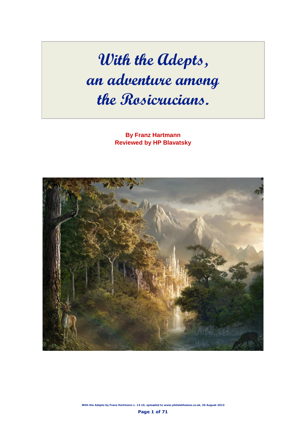**With the Adepts, an adventure among the Rosicrucians.**

> **By Franz Hartmann Reviewed by HP Blavatsky**



**With the Adepts by Franz Hartmann v. 13.10, uploaded to www.[philaletheians](http://www.philaletheians.co.uk/).co.uk, 26 August 2013**

**Page 1 of 71**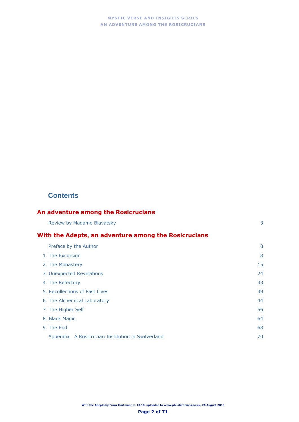#### **MYSTIC VERSE AND INSIGHTS SERIES AN ADVENTURE AMONG THE ROSICRUCIANS**

# **Contents**

**[An adventure among the Rosicrucians](#page-2-0)**

| Review by Madame Blavatsky                           | 3  |
|------------------------------------------------------|----|
| With the Adepts, an adventure among the Rosicrucians |    |
| Preface by the Author                                | 8  |
| 1. The Excursion                                     | 8  |
| 2. The Monastery                                     | 15 |
| 3. Unexpected Revelations                            | 24 |
| 4. The Refectory                                     | 33 |
| 5. Recollections of Past Lives                       | 39 |
| 6. The Alchemical Laboratory                         | 44 |
| 7. The Higher Self                                   | 56 |
| 8. Black Magic                                       | 64 |
| 9. The End                                           | 68 |
| Appendix A Rosicrucian Institution in Switzerland    | 70 |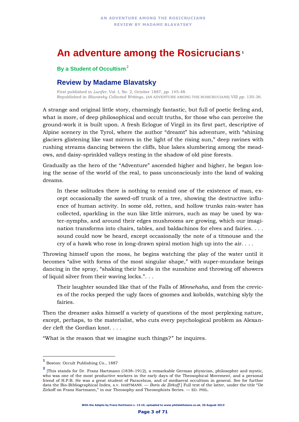# <span id="page-2-0"></span>**An adventure among the Rosicrucians <sup>1</sup>**

<span id="page-2-1"></span>**By a Student of Occultism** 2

#### **Review by Madame Blavatsky**

First published in *Lucifer*, Vol. I, No. 2, October 1887, *pp*. 145-48. Republished in *Blavatsky Collected Writings*, (AN ADVENTURE AMONG THE ROSICRUCIANS) VIII *pp*. 130-36.

A strange and original little story, charmingly fantastic, but full of poetic feeling and, what is more, of deep philosophical and occult truths, for those who can perceive the ground-work it is built upon. A fresh Eclogue of Virgil in its first part, descriptive of Alpine scenery in the Tyrol, where the author "dreamt" his adventure, with "shining glaciers glistening like vast mirrors in the light of the rising sun," deep ravines with rushing streams dancing between the cliffs, blue lakes slumbering among the meadows, and daisy-sprinkled valleys resting in the shadow of old pine forests.

Gradually as the hero of the "Adventure" ascended higher and higher, he began losing the sense of the world of the real, to pass unconsciously into the land of waking dreams.

In these solitudes there is nothing to remind one of the existence of man, except occasionally the sawed-off trunk of a tree, showing the destructive influence of human activity. In some old, rotten, and hollow trunks rain-water has collected, sparkling in the sun like little mirrors, such as may be used by water-nymphs, and around their edges mushrooms are growing, which our imagination transforms into chairs, tables, and baldachinos for elves and fairies. . . . sound could now be heard, except occasionally the note of a titmouse and the cry of a hawk who rose in long-drawn spiral motion high up into the air. . . .

Throwing himself upon the moss, he begins watching the play of the water until it becomes "alive with forms of the most singular shape," with super-mundane beings dancing in the spray, "shaking their heads in the sunshine and throwing off showers of liquid silver from their waving locks.". . .

Their laughter sounded like that of the Falls of *Minnehaha*, and from the crevices of the rocks peeped the ugly faces of gnomes and kobolds, watching slyly the fairies.

Then the dreamer asks himself a variety of questions of the most perplexing nature, except, perhaps, to the materialist, who cuts every psychological problem as Alexander cleft the Gordian knot. . . .

"What is the reason that we imagine such things?" he inquires.

-

**<sup>1</sup>** Boston: Occult Publishing Co., 1887

**<sup>2</sup>** [This stands for Dr. Franz Hartmann (1838–1912), a remarkable German physician, philosopher and mystic, who was one of the most productive workers in the early days of the Theosophical Movement, and a personal friend of H.P.B. He was a great student of Paracelsus, and of mediaeval occultism in general. See for further data the Bio-Bibliographical Index, s.v. HARTMANN. — *Boris de Zirkoff*.] Full text of the latter, under the title "De Zirkoff on Franz Hartmann," in our Theosophy and Theosophists Series. — ED. PHIL.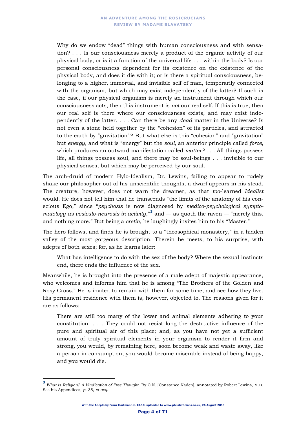Why do we endow "dead" things with human consciousness and with sensation? . . . Is our consciousness merely a product of the organic activity of our physical body, or is it a function of the universal life . . . within the body? Is our personal consciousness dependent for its existence on the existence of the physical body, and does it die with it; or is there a spiritual consciousness, belonging to a higher, immortal, and invisible self of man, temporarily connected with the organism, but which may exist independently of the latter? If such is the case, if our physical organism is merely an instrument through which our consciousness acts, then this instrument is *not* our real self. If this is true, then our real self is there where our consciousness exists, and may exist independently of the latter. . . . Can there be any *dead* matter in the Universe? Is not even a stone held together by the "cohesion" of its particles, and attracted to the earth by "gravitation"? But what else is this "cohesion" and "gravitation" but *energy*, and what is "energy" but the *soul*, an anterior principle called *force*, which produces an outward manifestation called *matter?* . . . All things possess life, all things possess soul, and there may be soul-beings . . . invisible to our physical senses, but which may be perceived by our soul.

The arch-druid of modern Hylo-Idealism, Dr. Lewins, failing to appear to rudely shake our philosopher out of his unscientific thoughts, a dwarf appears in his stead. The creature, however, does not warn the dreamer, as that *too*-learned *Idealist* would. He does not tell him that he transcends "the limits of the anatomy of his conscious Ego," since "*psychosis* is now diagnosed by *medico*-*psychological symptomatology as vesiculo*-*neurosis in activity*," **3** and — as quoth the raven — "merely this, and nothing more." But being a *cretin*, he laughingly invites him to his "Master."

The hero follows, and finds he is brought to a "theosophical monastery," in a hidden valley of the most gorgeous description. Therein he meets, to his surprise, with adepts of both sexes; for, as he learns later:

What has intelligence to do with the sex of the body? Where the sexual instincts end, there ends the influence of the sex.

Meanwhile, he is brought into the presence of a male adept of majestic appearance, who welcomes and informs him that he is among "The Brothers of the Golden and Rosy Cross." He is invited to remain with them for some time, and see how they live. His permanent residence with them is, however, objected to. The reasons given for it are as follows:

There are still too many of the lower and animal elements adhering to your constitution. . . . They could not resist long the destructive influence of the pure and spiritual air of this place; and, as you have not yet a sufficient amount of truly spiritual elements in your organism to render it firm and strong, you would, by remaining here, soon become weak and waste away, like a person in consumption; you would become miserable instead of being happy, and you would die.

-

**<sup>3</sup>** *What is Religion? <sup>A</sup> Vindication of Free Thought*. By C.N. [Constance Naden], annotated by Robert Lewins, M.D. See his Appendices, *p*. 35, *et seq*.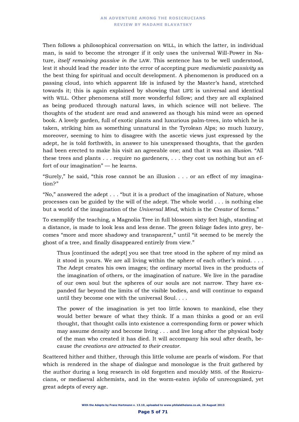Then follows a philosophical conversation on WILL, in which the latter, in individual man, is said to become the stronger if it only uses the universal Will-Power in Nature, *itself remaining passive in the* LAW. This sentence has to be well understood, lest it should lead the reader into the error of accepting pure *mediumistic passivity* as the best thing for spiritual and occult development. A phenomenon is produced on a passing cloud, into which apparent life is infused by the Master's hand, stretched towards it; this is again explained by showing that LIFE is universal and identical with WILL. Other phenomena still more wonderful follow; and they are all explained as being produced through natural laws, in which science will not believe. The thoughts of the student are read and answered as though his mind were an opened book. A lovely garden, full of exotic plants and luxurious palm-trees, into which he is taken, striking him as something unnatural in the Tyrolean Alps; so much luxury, moreover, seeming to him to disagree with the ascetic views just expressed by the adept, he is told forthwith, in answer to his unexpressed thoughts, that the garden had been erected to make his visit an agreeable one; and that it was an *illusion*. "All these trees and plants . . . require no gardeners, . . . they cost us nothing but an effort of our imagination" — he learns.

"Surely," he said, "this rose cannot be an illusion . . . or an effect of my imagination?"

"No," answered the adept . . . "but it is a product of the imagination of Nature, whose processes can be guided by the will of the adept. The whole world . . . is nothing else but a world of the imagination of the *Universal Mind*, which is the *Creator* of forms."

To exemplify the teaching, a Magnolia Tree in full blossom sixty feet high, standing at a distance, is made to look less and less dense. The green foliage fades into grey, becomes "more and more shadowy and transparent," until "it seemed to be merely the ghost of a tree, and finally disappeared entirely from view."

Thus [continued the adept] you see that tree stood in the sphere of my mind as it stood in yours. We are all living within the sphere of each other's mind. . . . The Adept creates his own images; the ordinary mortal lives in the products of the imagination of others, or the imagination of nature. We live in the paradise of our own soul but the spheres of our souls are not narrow. They have expanded far beyond the limits of the visible bodies, and will continue to expand until they become one with the universal Soul. . . .

The power of the imagination is yet too little known to mankind, else they would better beware of what they think. If a man thinks a good or an evil thought, that thought calls into existence a corresponding form or power which may assume density and become living . . . and live long after the physical body of the man who created it has died. It will accompany his soul after death, because *the creations are attracted to their creator*.

Scattered hither and thither, through this little volume are pearls of wisdom. For that which is rendered in the shape of dialogue and monologue is the fruit gathered by the author during a long research in old forgotten and mouldy MSS. of the Rosicrucians, or mediaeval alchemists, and in the worm-eaten *infolio* of unrecognized, yet great adepts of every age.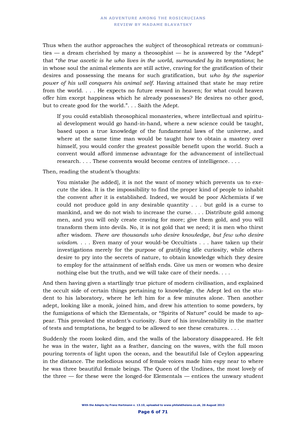Thus when the author approaches the subject of theosophical retreats or communities — a dream cherished by many a theosophist — he is answered by the "Adept" that "*the true ascetic is he who lives in the world*, *surrounded by its temptations*; he in whose soul the animal elements are still active, craving for the gratification of their desires and possessing the means for such gratification, but *who by the superior power of his will conquers his animal self*. Having attained that state he may retire from the world. . . . He expects no future reward in heaven; for what could heaven offer him except happiness which he already possesses? He desires no other good, but to create good for the world.". . . Saith the Adept.

If you could establish theosophical monasteries, where intellectual and spiritual development would go hand-in-hand, where a new science could be taught, based upon a true knowledge of the fundamental laws of the universe, and where at the same time man would be taught how to obtain a mastery over himself, you would confer the greatest possible benefit upon the world. Such a convent would afford immense advantage for the advancement of intellectual research. . . . These convents would become centres of intelligence. . . .

Then, reading the student's thoughts:

You mistake [he added], it is not the want of money which prevents us to execute the idea. It is the impossibility to find the proper kind of people to inhabit the convent after it is established. Indeed, we would be poor Alchemists if we could not produce gold in any desirable quantity . . . but gold is a curse to mankind, and we do not wish to increase the curse. . . . Distribute gold among men, and you will only create craving for more; give them gold, and you will transform them into devils. No, it is not gold that we need; it is men who thirst after wisdom. *There are thousands who desire knowledge*, *but few who desire wisdom*. . . . Even many of your would-be Occultists . . . have taken up their investigations merely for the purpose of gratifying idle curiosity, while others desire to pry into the secrets of nature, to obtain knowledge which they desire to employ for the attainment of selfish ends. Give us men or women who desire nothing else but the truth, and we will take care of their needs. . . .

And then having given a startlingly true picture of modern civilisation, and explained the occult side of certain things pertaining to knowledge, the Adept led on the student to his laboratory, where he left him for a few minutes alone. Then another adept, looking like a monk, joined him, and drew his attention to some powders, by the fumigations of which the Elementals, or "Spirits of Nature" could be made to appear. This provoked the student's curiosity. Sure of his invulnerability in the matter of tests and temptations, he begged to be allowed to see these creatures. . . .

Suddenly the room looked dim, and the walls of the laboratory disappeared. He felt he was in the water, light as a feather, dancing on the waves, with the full moon pouring torrents of light upon the ocean, and the beautiful Isle of Ceylon appearing in the distance. The melodious sound of female voices made him espy near to where he was three beautiful female beings. The Queen of the Undines, the most lovely of the three  $-$  for these were the longed-for Elementals  $-$  entices the unwary student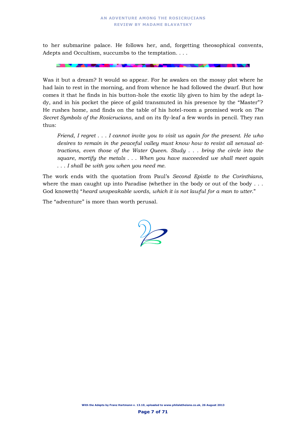to her submarine palace. He follows her, and, forgetting theosophical convents, Adepts and Occultism, succumbs to the temptation. . . .

Was it but a dream? It would so appear. For he awakes on the mossy plot where he had lain to rest in the morning, and from whence he had followed the dwarf. But how comes it that he finds in his button-hole the exotic lily given to him by the adept lady, and in his pocket the piece of gold transmuted in his presence by the "Master"? He rushes home, and finds on the table of his hotel-room a promised work on *The Secret Symbols of the Rosicrucians*, and on its fly-leaf a few words in pencil. They ran thus:

*Friend*, *I regret* . . . *I cannot invite you to visit us again for the present*. *He who desires to remain in the peaceful valley must know how to resist all sensual attractions*, *even those of the Water Queen*. *Study* . . . *bring the circle into the square*, *mortify the metals* . . . *When you have succeeded we shall meet again* . . . *I shall be with you when you need me*.

The work ends with the quotation from Paul's *Second Epistle to the Corinthians*, where the man caught up into Paradise (whether in the body or out of the body  $\dots$ ) God knoweth) "*heard unspeakable words*, *which it is not lawful for a man to utter*."

The "adventure" is more than worth perusal.

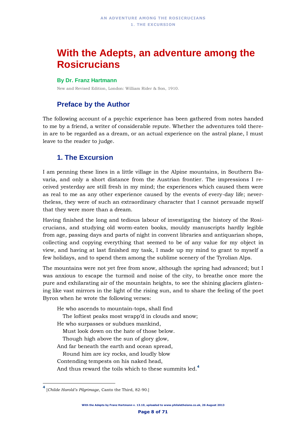# <span id="page-7-0"></span>**With the Adepts, an adventure among the Rosicrucians**

#### **By Dr. Franz Hartmann**

New and Revised Edition, London: William Rider & Son, 1910.

# <span id="page-7-1"></span>**Preface by the Author**

The following account of a psychic experience has been gathered from notes handed to me by a friend, a writer of considerable repute. Whether the adventures told therein are to be regarded as a dream, or an actual experience on the astral plane, I must leave to the reader to judge.

#### <span id="page-7-2"></span>**1. The Excursion**

I am penning these lines in a little village in the Alpine mountains, in Southern Bavaria, and only a short distance from the Austrian frontier. The impressions I received yesterday are still fresh in my mind; the experiences which caused them were as real to me as any other experience caused by the events of every-day life; nevertheless, they were of such an extraordinary character that I cannot persuade myself that they were more than a dream.

Having finished the long and tedious labour of investigating the history of the Rosicrucians, and studying old worm-eaten books, mouldy manuscripts hardly legible from age, passing days and parts of night in convent libraries and antiquarian shops, collecting and copying everything that seemed to be of any value for my object in view, and having at last finished my task, I made up my mind to grant to myself a few holidays, and to spend them among the sublime scenery of the Tyrolian Alps.

The mountains were not yet free from snow, although the spring had advanced; but I was anxious to escape the turmoil and noise of the city, to breathe once more the pure and exhilarating air of the mountain heights, to see the shining glaciers glistening like vast mirrors in the light of the rising sun, and to share the feeling of the poet Byron when he wrote the following verses:

He who ascends to mountain-tops, shall find

The loftiest peaks most wrapp'd in clouds and snow;

He who surpasses or subdues mankind,

Must look down on the hate of those below.

Though high above the sun of glory glow,

And far beneath the earth and ocean spread,

Round him are icy rocks, and loudly blow

Contending tempests on his naked head,

And thus reward the toils which to these summits led.**<sup>4</sup>**

-

**<sup>4</sup>** [*Childe Harold's Pilgrimage*, Canto the Third, 82-90.]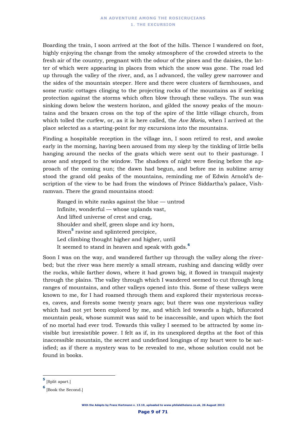Boarding the train, I soon arrived at the foot of the hills. Thence I wandered on foot, highly enjoying the change from the smoky atmosphere of the crowded streets to the fresh air of the country, pregnant with the odour of the pines and the daisies, the latter of which were appearing in places from which the snow was gone. The road led up through the valley of the river, and, as I advanced, the valley grew narrower and the sides of the mountain steeper. Here and there were clusters of farmhouses, and some rustic cottages clinging to the projecting rocks of the mountains as if seeking protection against the storms which often blow through these valleys. The sun was sinking down below the western horizon, and gilded the snowy peaks of the mountains and the brazen cross on the top of the spire of the little village church, from which tolled the curfew, or, as it is here called, the *Ave Maria*, when I arrived at the place selected as a starting-point for my excursions into the mountains.

Finding a hospitable reception in the village inn, I soon retired to rest, and awoke early in the morning, having been aroused from my sleep by the tinkling of little bells hanging around the necks of the goats which were sent out to their pasturage. I arose and stepped to the window. The shadows of night were fleeing before the approach of the coming sun; the dawn had begun, and before me in sublime array stood the grand old peaks of the mountains, reminding me of Edwin Arnold's description of the view to be had from the windows of Prince Siddartha's palace, Vishramvan. There the grand mountains stood:

Ranged in white ranks against the blue — untrod Infinite, wonderful — whose uplands vast, And lifted universe of crest and crag, Shoulder and shelf, green slope and icy horn, Riven**<sup>5</sup>** ravine and splintered precipice, Led climbing thought higher and higher, until It seemed to stand in heaven and speak with gods.**<sup>6</sup>**

Soon I was on the way, and wandered farther up through the valley along the riverbed; but the river was here merely a small stream, rushing and dancing wildly over the rocks, while farther down, where it had grown big, it flowed in tranquil majesty through the plains. The valley through which I wandered seemed to cut through long ranges of mountains, and other valleys opened into this. Some of these valleys were known to me, for I had roamed through them and explored their mysterious recesses, caves, and forests some twenty years ago; but there was one mysterious valley which had not yet been explored by me, and which led towards a high, bifurcated mountain peak, whose summit was said to be inaccessible, and upon which the foot of no mortal had ever trod. Towards this valley I seemed to be attracted by some invisible but irresistible power. I felt as if, in its unexplored depths at the foot of this inaccessible mountain, the secret and undefined longings of my heart were to be satisfied; as if there a mystery was to be revealed to me, whose solution could not be found in books.

-

**<sup>5</sup>** [Split apart.]

**<sup>6</sup>** [Book the Second.]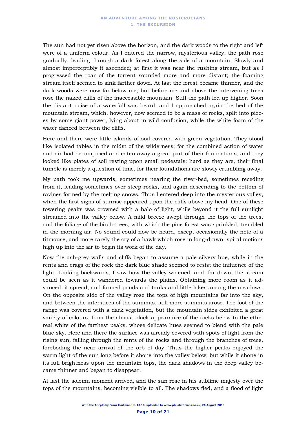The sun had not yet risen above the horizon, and the dark woods to the right and left were of a uniform colour. As I entered the narrow, mysterious valley, the path rose gradually, leading through a dark forest along the side of a mountain. Slowly and almost imperceptibly it ascended; at first it was near the rushing stream, but as I progressed the roar of the torrent sounded more and more distant; the foaming stream itself seemed to sink farther down. At last the forest became thinner, and the dark woods were now far below me; but before me and above the intervening trees rose the naked cliffs of the inaccessible mountain. Still the path led up higher. Soon the distant noise of a waterfall was heard, and I approached again the bed of the mountain stream, which, however, now seemed to be a mass of rocks, split into pieces by some giant power, lying about in wild confusion, while the white foam of the water danced between the cliffs.

Here and there were little islands of soil covered with green vegetation. They stood like isolated tables in the midst of the wilderness; for the combined action of water and air had decomposed and eaten away a great part of their foundations, and they looked like plates of soil resting upon small pedestals; hard as they are, their final tumble is merely a question of time, for their foundations are slowly crumbling away.

My path took me upwards, sometimes nearing the river-bed, sometimes receding from it, leading sometimes over steep rocks, and again descending to the bottom of ravines formed by the melting snows. Thus I entered deep into the mysterious valley, when the first signs of sunrise appeared upon the cliffs above my head. One of these towering peaks was crowned with a halo of light, while beyond it the full sunlight streamed into the valley below. A mild breeze swept through the tops of the trees, and the foliage of the birch-trees, with which the pine forest was sprinkled, trembled in the morning air. No sound could now be heard, except occasionally the note of a titmouse, and more rarely the cry of a hawk which rose in long-drawn, spiral motions high up into the air to begin its work of the day.

Now the ash-grey walls and cliffs began to assume a pale silvery hue, while in the rents and crags of the rock the dark blue shade seemed to resist the influence of the light. Looking backwards, I saw how the valley widened, and, far down, the stream could be seen as it wandered towards the plains. Obtaining more room as it advanced, it spread, and formed ponds and tanks and little lakes among the meadows. On the opposite side of the valley rose the tops of high mountains far into the sky, and between the interstices of the summits, still more summits arose. The foot of the range was covered with a dark vegetation, but the mountain sides exhibited a great variety of colours, from the almost black appearance of the rocks below to the ethereal white of the farthest peaks, whose delicate hues seemed to blend with the pale blue sky. Here and there the surface was already covered with spots of light from the rising sun, falling through the rents of the rocks and through the branches of trees, foreboding the near arrival of the orb of day. Thus the higher peaks enjoyed the warm light of the sun long before it shone into the valley below; but while it shone in its full brightness upon the mountain tops, the dark shadows in the deep valley became thinner and began to disappear.

At last the solemn moment arrived, and the sun rose in his sublime majesty over the tops of the mountains, becoming visible to all. The shadows fled, and a flood of light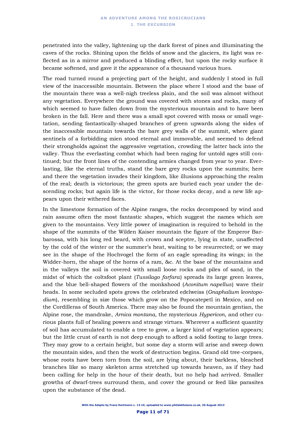penetrated into the valley, lightening up the dark forest of pines and illuminating the caves of the rocks. Shining upon the fields of snow and the glaciers, its light was reflected as in a mirror and produced a blinding effect, but upon the rocky surface it became softened, and gave it the appearance of a thousand various hues.

The road turned round a projecting part of the height, and suddenly I stood in full view of the inaccessible mountain. Between the place where I stood and the base of the mountain there was a well-nigh treeless plain, and the soil was almost without any vegetation. Everywhere the ground was covered with stones and rocks, many of which seemed to have fallen down from the mysterious mountain and to have been broken in the fall. Here and there was a small spot covered with moss or small vegetation, sending fantastically-shaped branches of green upwards along the sides of the inaccessible mountain towards the bare grey walls of the summit, where giant sentinels of a forbidding mien stood eternal and immovable, and seemed to defend their strongholds against the aggressive vegetation, crowding the latter back into the valley. Thus the everlasting combat which had been raging for untold ages still continued; but the front lines of the contending armies changed from year to year. Everlasting, like the eternal truths, stand the bare grey rocks upon the summits; here and there the vegetation invades their kingdom, like illusions approaching the realm of the real; death is victorious; the green spots are buried each year under the descending rocks; but again life is the victor, for those rocks decay, and a new life appears upon their withered faces.

In the limestone formation of the Alpine ranges, the rocks decomposed by wind and rain assume often the most fantastic shapes, which suggest the names which are given to the mountains. Very little power of imagination is required to behold in the shape of the summits of the Wilden Kaiser mountain the figure of the Emperor Barbarossa, with his long red beard, with crown and sceptre, lying in state, unaffected by the cold of the winter or the summer's heat, waiting to be resurrected; or we may see in the shape of the Hochvogel the form of an eagle spreading its wings; in the Widder-horn, the shape of the horns of a ram, &c. At the base of the mountains and in the valleys the soil is covered with small loose rocks and piles of sand, in the midst of which the coltsfoot plant (*Tussilago farfara*) spreads its large green leaves, and the blue bell-shaped flowers of the monkshood (*Aconitum napellus*) wave their heads. In some secluded spots grows the celebrated edelweiss (*Gnaphalium leontopodium*), resembling in size those which grow on the Popocatepetl in Mexico, and on the Cordilleras of South America. There may also be found the mountain gentian, the Alpine rose, the mandrake, *Arnica montana*, the mysterious *Hypericon*, and other curious plants full of healing powers and strange virtues. Wherever a sufficient quantity of soil has accumulated to enable a tree to grow, a larger kind of vegetation appears; but the little crust of earth is not deep enough to afford a solid footing to large trees. They may grow to a certain height, but some day a storm will arise and sweep down the mountain sides, and then the work of destruction begins. Grand old tree-corpses, whose roots have been torn from the soil, are lying about, their barkless, bleached branches like so many skeleton arms stretched up towards heaven, as if they had been calling for help in the hour of their death, but no help had arrived. Smaller growths of dwarf-trees surround them, and cover the ground or feed like parasites upon the substance of the dead.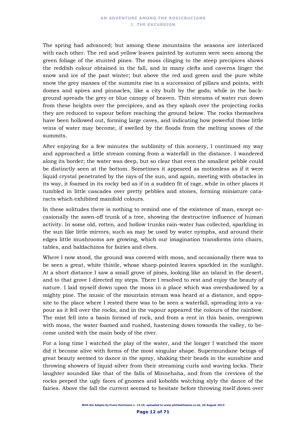The spring had advanced; but among these mountains the seasons are interlaced with each other. The red and yellow leaves painted by autumn were seen among the green foliage of the stunted pines. The moss clinging to the steep precipices shows the reddish colour obtained in the fall, and in many clefts and caverns linger the snow and ice of the past winter; but above the red and green and the pure white snow the grey masses of the summits rise in a succession of pillars and points, with domes and spires and pinnacles, like a city built by the gods; while in the background spreads the grey or blue canopy of heaven. Thin streams of water run down from these heights over the precipices, and as they splash over the projecting rocks they are reduced to vapour before reaching the ground below. The rocks themselves have been hollowed out, forming large caves, and indicating how powerful those little veins of water may become, if swelled by the floods from the melting snows of the summits.

After enjoying for a few minutes the sublimity of this scenery, I continued my way and approached a little stream coming from a waterfall in the distance. I wandered along its border; the water was deep, but so clear that even the smallest pebble could be distinctly seen at the bottom. Sometimes it appeared as motionless as if it were liquid crystal penetrated by the rays of the sun, and again, meeting with obstacles in its way, it foamed in its rocky bed as if in a sudden fit of rage, while in other places it tumbled in little cascades over pretty pebbles and stones, forming miniature cataracts which exhibited manifold colours.

In these solitudes there is nothing to remind one of the existence of man, except occasionally the sawn-off trunk of a tree, showing the destructive influence of human activity. In some old, rotten, and hollow trunks rain-water has collected, sparkling in the sun like little mirrors, such as may be used by water nymphs, and around their edges little mushrooms are growing, which our imagination transforms into chairs, tables, and baldachinos for fairies and elves.

Where I now stood, the ground was covered with moss, and occasionally there was to be seen a great, white thistle, whose sharp-pointed leaves sparkled in the sunlight. At a short distance I saw a small grove of pines, looking like an island in the desert, and to that grove I directed my steps. There I resolved to rest and enjoy the beauty of nature. I laid myself down upon the moss in a place which was overshadowed by a mighty pine. The music of the mountain stream was heard at a distance, and opposite to the place where I rested there was to be seen a waterfall, spreading into a vapour as it fell over the rocks, and in the vapour appeared the colours of the rainbow. The mist fell into a basin formed of rock, and from a rent in this basin, overgrown with moss, the water foamed and rushed, hastening down towards the valley, to become united with the main body of the river.

For a long time I watched the play of the water, and the longer I watched the more did it become alive with forms of the most singular shape. Supermundane beings of great beauty seemed to dance in the spray, shaking their heads in the sunshine and throwing showers of liquid silver from their streaming curls and waving locks. Their laughter sounded like that of the falls of Minnehaha, and from the crevices of the rocks peeped the ugly faces of gnomes and kobolds watching slyly the dance of the fairies. Above the fall the current seemed to hesitate before throwing itself down over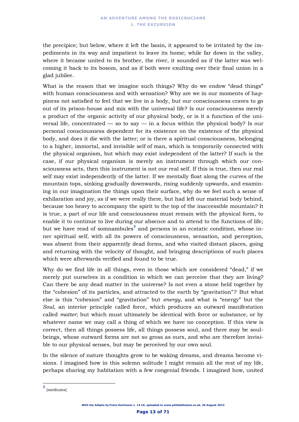the precipice; but below, where it left the basin, it appeared to be irritated by the impediments in its way and impatient to leave its home; while far down in the valley, where it became united to its brother, the river, it sounded as if the latter was welcoming it back to its bosom, and as if both were exulting over their final union in a glad jubilee.

What is the reason that we imagine such things? Why do we endow "dead things" with human consciousness and with sensation? Why are we in our moments of happiness not satisfied to feel that we live in a body, but our consciousness craves to go out of its prison-house and mix with the universal life? Is our consciousness merely a product of the organic activity of our physical body, or is it a function of the universal life, concentrated  $-$  so to say  $-$  in a focus within the physical body? Is our personal consciousness dependent for its existence on the existence of the physical body, and does it die with the latter; or is there a spiritual consciousness, belonging to a higher, immortal, and invisible self of man, which is temporarily connected with the physical organism, but which may exist independent of the latter? If such is the case, if our physical organism is merely an instrument through which our consciousness acts, then this instrument is not our real self. If this is true, then our real self may exist independently of the latter. If we mentally float along the curves of the mountain tops, sinking gradually downwards, rising suddenly upwards, and examining in our imagination the things upon their surface, why do we feel such a sense of exhilaration and joy, as if we were really there, but had left our material body behind, because too heavy to accompany the spirit to the top of the inaccessible mountain? It is true, a part of our life and consciousness must remain with the physical form, to enable it to continue to live during our absence and to attend to the functions of life; but we have read of somnambules**<sup>7</sup>** and persons in an ecstatic condition, whose inner spiritual self, with all its powers of consciousness, sensation, and perception, was absent from their apparently dead forms, and who visited distant places, going and returning with the velocity of thought, and bringing descriptions of such places which were afterwards verified and found to be true.

Why do we find life in all things, even in those which are considered "dead," if we merely put ourselves in a condition in which we can perceive that they are living? Can there be any dead matter in the universe? Is not even a stone held together by the "cohesion" of its particles, and attracted to the earth by "gravitation"? But what else is this "cohesion" and "gravitation" but *energy*, and what is "energy" but the *Soul*, an interior principle called force, which produces an outward manifestation called *matter*; but which must ultimately be identical with force or substance, or by whatever name we may call a thing of which we have no conception. If this view is correct, then all things possess life, all things possess soul, and there may be soulbeings, whose outward forms are not so gross as ours, and who are therefore invisible to our physical senses, but may be perceived by our own soul.

In the silence of nature thoughts grow to be waking dreams, and dreams become visions. I imagined how in this solemn solitude I might remain all the rest of my life, perhaps sharing my habitation with a few congenial friends. I imagined how, united

-

**<sup>7</sup>** [mediums]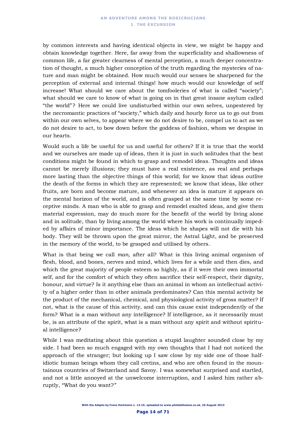by common interests and having identical objects in view, we might be happy and obtain knowledge together. Here, far away from the superficiality and shallowness of common life, a far greater clearness of mental perception, a much deeper concentration of thought, a much higher conception of the truth regarding the mysteries of nature and man might be obtained. How much would our senses be sharpened for the perception of external and internal things! how much would our knowledge of self increase! What should we care about the tomfooleries of what is called "society"; what should we care to know of what is going on in that great insane asylum called "the world"? Here we could live undisturbed within our own selves, unpestered by the necromantic practices of "society," which daily and hourly force us to go out from within our own selves, to appear where we do not desire to be, compel us to act as we do not desire to act, to bow down before the goddess of fashion, whom we despise in our hearts.

Would such a life be useful for us and useful for others? If it is true that the world and we ourselves are made up of ideas, then it is just in such solitudes that the best conditions might be found in which to grasp and remodel ideas. Thoughts and ideas cannot be merely illusions; they must have a real existence, as real and perhaps more lasting than the objective things of this world; for we know that ideas outlive the death of the forms in which they are represented; we know that ideas, like other fruits, are born and become mature, and whenever an idea is mature it appears on the mental horizon of the world, and is often grasped at the same time by some receptive minds. A man who is able to grasp and remodel exalted ideas, and give them material expression, may do much more for the benefit of the world by living alone and in solitude, than by living among the world where his work is continually impeded by affairs of minor importance. The ideas which he shapes will not die with his body. They will be thrown upon the great mirror, the Astral Light, and be preserved in the memory of the world, to be grasped and utilised by others.

What is that being we call *man*, after all? What is this living animal organism of flesh, blood, and bones, nerves and mind, which lives for a while and then dies, and which the great majority of people esteem so highly, as if it were their own immortal self, and for the comfort of which they often sacrifice their self-respect, their dignity, honour, and virtue? Is it anything else than an animal in whom an intellectual activity of a higher order than in other animals predominates? Can this mental activity be the product of the mechanical, chemical, and physiological activity of gross matter? If not, what is the cause of this activity, and can this cause exist independently of the form? What is a man without any intelligence? If intelligence, as it necessarily must be, is an attribute of the spirit, what is a man without any spirit and without spiritual intelligence?

While I was meditating about this question a stupid laughter sounded close by my side. I had been so much engaged with my own thoughts that I had not noticed the approach of the stranger; but looking up I saw close by my side one of those halfidiotic human beings whom they call cretins, and who are often found in the mountainous countries of Switzerland and Savoy. I was somewhat surprised and startled, and not a little annoyed at the unwelcome interruption, and I asked him rather abruptly, "What do you want?"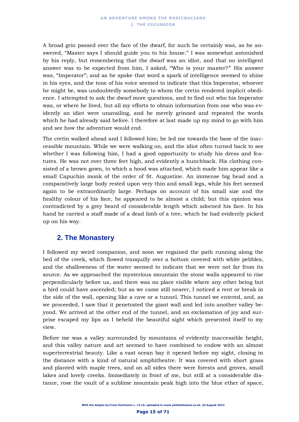A broad grin passed over the face of the dwarf, for such he certainly was, as he answered, "Master says I should guide you to his house." I was somewhat astonished by his reply, but remembering that the dwarf was an idiot, and that no intelligent answer was to be expected from him, I asked, "Who is your master?" His answer was, "Imperator"; and as he spoke that word a spark of intelligence seemed to shine in his eyes, and the tone of his voice seemed to indicate that this Imperator, whoever he might be, was undoubtedly somebody to whom the cretin rendered implicit obedience. I attempted to ask the dwarf more questions, and to find out who his Imperator was, or where he lived, but all my efforts to obtain information from one who was evidently an idiot were unavailing, and he merely grinned and repeated the words which he had already said before. I therefore at last made up my mind to go with him and see how the adventure would end.

The cretin walked ahead and I followed him; he led me towards the base of the inaccessible mountain. While we were walking on, and the idiot often turned back to see whether I was following him, I had a good opportunity to study his dress and features. He was not over three feet high, and evidently a hunchback. His clothing consisted of a brown gown, to which a hood was attached, which made him appear like a small Capuchin monk of the order of St. Augustine. An immense big head and a comparatively large body rested upon very thin and small legs, while his feet seemed again to be extraordinarily large. Perhaps on account of his small size and the healthy colour of his face, he appeared to be almost a child; but this opinion was contradicted by a grey beard of considerable length which adorned his face. In his hand he carried a staff made of a dead limb of a tree, which he had evidently picked up on his way.

## <span id="page-14-0"></span>**2. The Monastery**

I followed my weird companion, and soon we regained the path running along the bed of the creek, which flowed tranquilly over a bottom covered with white pebbles, and the shallowness of the water seemed to indicate that we were not far from its source. As we approached the mysterious mountain the stone walls appeared to rise perpendicularly before us, and there was no place visible where any other being but a bird could have ascended; but as we came still nearer, I noticed a rent or break in the side of the wall, opening like a cave or a tunnel. This tunnel we entered, and, as we proceeded, I saw that it penetrated the giant wall and led into another valley beyond. We arrived at the other end of the tunnel, and an exclamation of joy and surprise escaped my lips as I beheld the beautiful sight which presented itself to my view.

Before me was a valley surrounded by mountains of evidently inaccessible height, and this valley nature and art seemed to have combined to endow with an almost superterrestrial beauty. Like a vast ocean bay it opened before my sight, closing in the distance with a kind of natural amphitheatre. It was covered with short grass and planted with maple trees, and on all sides there were forests and groves, small lakes and lovely creeks. Immediately in front of me, but still at a considerable distance, rose the vault of a sublime mountain peak high into the blue ether of space,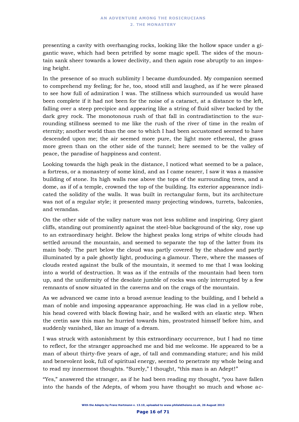presenting a cavity with overhanging rocks, looking like the hollow space under a gigantic wave, which had been petrified by some magic spell. The sides of the mountain sank sheer towards a lower declivity, and then again rose abruptly to an imposing height.

In the presence of so much sublimity I became dumfounded. My companion seemed to comprehend my feeling; for he, too, stood still and laughed, as if he were pleased to see how full of admiration I was. The stillness which surrounded us would have been complete if it had not been for the noise of a cataract, at a distance to the left, falling over a steep precipice and appearing like a string of fluid silver backed by the dark grey rock. The monotonous rush of that fall in contradistinction to the surrounding stillness seemed to me like the rush of the river of time in the realm of eternity; another world than the one to which I had been accustomed seemed to have descended upon me; the air seemed more pure, the light more ethereal, the grass more green than on the other side of the tunnel; here seemed to be the valley of peace, the paradise of happiness and content.

Looking towards the high peak in the distance, I noticed what seemed to be a palace, a fortress, or a monastery of some kind, and as I came nearer, I saw it was a massive building of stone. Its high walls rose above the tops of the surrounding trees, and a dome, as if of a temple, crowned the top of the building. Its exterior appearance indicated the solidity of the walls. It was built in rectangular form, but its architecture was not of a regular style; it presented many projecting windows, turrets, balconies, and verandas.

On the other side of the valley nature was not less sublime and inspiring. Grey giant cliffs, standing out prominently against the steel-blue background of the sky, rose up to an extraordinary height. Below the highest peaks long strips of white clouds had settled around the mountain, and seemed to separate the top of the latter from its main body. The part below the cloud was partly covered by the shadow and partly illuminated by a pale ghostly light, producing a glamour. There, where the masses of clouds rested against the bulk of the mountain, it seemed to me that I was looking into a world of destruction. It was as if the entrails of the mountain had been torn up, and the uniformity of the desolate jumble of rocks was only interrupted by a few remnants of snow situated in the caverns and on the crags of the mountain.

As we advanced we came into a broad avenue leading to the building, and I beheld a man of noble and imposing appearance approaching. He was clad in a yellow robe, his head covered with black flowing hair, and he walked with an elastic step. When the cretin saw this man he hurried towards him, prostrated himself before him, and suddenly vanished, like an image of a dream.

I was struck with astonishment by this extraordinary occurrence, but I had no time to reflect, for the stranger approached me and bid me welcome. He appeared to be a man of about thirty-five years of age, of tall and commanding stature; and his mild and benevolent look, full of spiritual energy, seemed to penetrate my whole being and to read my innermost thoughts. "Surely," I thought, "this man is an Adept!"

"Yes," answered the stranger, as if he had been reading my thought, "you have fallen into the hands of the Adepts, of whom you have thought so much and whose ac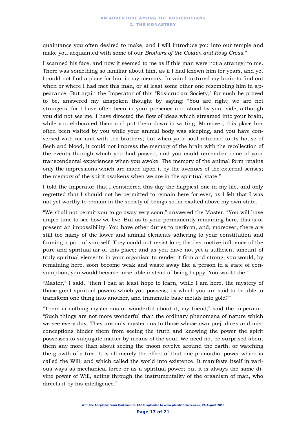quaintance you often desired to make, and I will introduce you into our temple and make you acquainted with some of our *Brothers of the Golden and Rosy Cross*."

I scanned his face, and now it seemed to me as if this man were not a stranger to me. There was something so familiar about him, as if I had known him for years, and yet I could not find a place for him in my memory. In vain I tortured my brain to find out when or where I had met this man, or at least some other one resembling him in appearance. But again the Imperator of this "Rosicrucian Society," for such he proved to be, answered my unspoken thought by saying: "You are right; we are not strangers, for I have often been in your presence and stood by your side, although you did not see me. I have directed the flow of ideas which streamed into your brain, while you elaborated them and put them down in writing. Moreover, this place has often been visited by you while your animal body was sleeping, and you have conversed with me and with the brothers; but when your soul returned to its house of flesh and blood, it could not impress the memory of the brain with the recollection of the events through which you had passed, and you could remember none of your transcendental experiences when you awoke. The memory of the animal form retains only the impressions which are made upon it by the avenues of the external senses; the memory of the spirit awakens when we are in the spiritual state."

I told the Imperator that I considered this day the happiest one in my life, and only regretted that I should not be permitted to remain here for ever, as I felt that I was not yet worthy to remain in the society of beings so far exalted above my own state.

"We shall not permit you to go away very soon," answered the Master. "You will have ample time to see how we live. But as to your permanently remaining here, this is at present an impossibility. You have other duties to perform, and, moreover, there are still too many of the lower and animal elements adhering to your constitution and forming a part of yourself. They could not resist long the destructive influence of the pure and spiritual air of this place; and as you have not yet a sufficient amount of truly spiritual elements in your organism to render it firm and strong, you would, by remaining here, soon become weak and waste away like a person in a state of consumption; you would become miserable instead of being happy. You would die."

"Master," I said, "then I can at least hope to learn, while I am here, the mystery of those great spiritual powers which you possess; by which you are said to be able to transform one thing into another, and transmute base metals into gold?"

"There is nothing mysterious or wonderful about it, my friend," said the Imperator. "Such things are not more wonderful than the ordinary phenomena of nature which we see every day. They are only mysterious to those whose own prejudices and misconceptions hinder them from seeing the truth and knowing the power the spirit possesses to subjugate matter by means of the soul. We need not be surprised about them any more than about seeing the moon revolve around the earth, or watching the growth of a tree. It is all merely the effect of that one primordial power which is called the Will, and which called the world into existence. It manifests itself in various ways as mechanical force or as a spiritual power; but it is always the same divine power of Will, acting through the instrumentality of the organism of man, who directs it by his intelligence."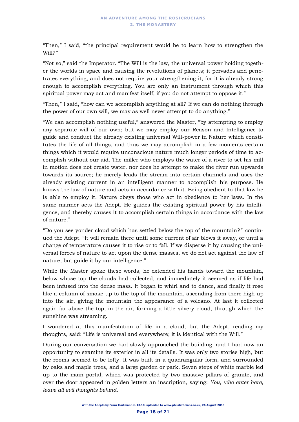"Then," I said, "the principal requirement would be to learn how to strengthen the Will?"

"Not so," said the Imperator. "The Will is the law, the universal power holding together the worlds in space and causing the revolutions of planets; it pervades and penetrates everything, and does not require your strengthening it, for it is already strong enough to accomplish everything. You are only an instrument through which this spiritual power may act and manifest itself, if you do not attempt to oppose it."

"Then," I said, "how can we accomplish anything at all? If we can do nothing through the power of our own will, we may as well never attempt to do anything."

"We can accomplish nothing useful," answered the Master, "by attempting to employ any separate will of our own; but we may employ our Reason and Intelligence to guide and conduct the already existing universal Will-power in Nature which constitutes the life of all things, and thus we may accomplish in a few moments certain things which it would require unconscious nature much longer periods of time to accomplish without our aid. The miller who employs the water of a river to set his mill in motion does not create water, nor does he attempt to make the river run upwards towards its source; he merely leads the stream into certain channels and uses the already existing current in an intelligent manner to accomplish his purpose. He knows the law of nature and acts in accordance with it. Being obedient to that law he is able to employ it. Nature obeys those who act in obedience to her laws. In the same manner acts the Adept. He guides the existing spiritual power by his intelligence, and thereby causes it to accomplish certain things in accordance with the law of nature."

"Do you see yonder cloud which has settled below the top of the mountain?" continued the Adept. "It will remain there until some current of air blows it away, or until a change of temperature causes it to rise or to fall. If we disperse it by causing the universal forces of nature to act upon the dense masses, we do not act against the law of nature, but guide it by our intelligence."

While the Master spoke these words, he extended his hands toward the mountain, below whose top the clouds had collected, and immediately it seemed as if life had been infused into the dense mass. It began to whirl and to dance, and finally it rose like a column of smoke up to the top of the mountain, ascending from there high up into the air, giving the mountain the appearance of a volcano. At last it collected again far above the top, in the air, forming a little silvery cloud, through which the sunshine was streaming.

I wondered at this manifestation of life in a cloud; but the Adept, reading my thoughts, said: "Life is universal and everywhere; it is identical with the Will."

During our conversation we had slowly approached the building, and I had now an opportunity to examine its exterior in all its details. It was only two stories high, but the rooms seemed to be lofty. It was built in a quadrangular form, and surrounded by oaks and maple trees, and a large garden or park. Seven steps of white marble led up to the main portal, which was protected by two massive pillars of granite, and over the door appeared in golden letters an inscription, saying: *You, who enter here, leave all evil thoughts behind*.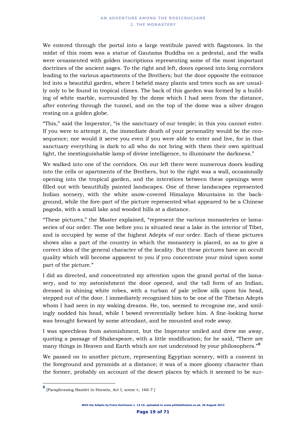We entered through the portal into a large vestibule paved with flagstones. In the midst of this room was a statue of Gautama Buddha on a pedestal, and the walls were ornamented with golden inscriptions representing some of the most important doctrines of the ancient sages. To the right and left, doors opened into long corridors leading to the various apartments of the Brothers; but the door opposite the entrance led into a beautiful garden, where I beheld many plants and trees such as are usually only to be found in tropical climes. The back of this garden was formed by a building of white marble, surrounded by the dome which I had seen from the distance, after entering through the tunnel, and on the top of the dome was a silver dragon resting on a golden globe.

"This," said the Imperator, "is the sanctuary of our temple; in this you cannot enter. If you were to attempt it, the immediate death of your personality would be the consequence; nor would it serve you even if you were able to enter and live, for in that sanctuary everything is dark to all who do not bring with them their own spiritual light, the inextinguishable lamp of divine intelligence, to illuminate the darkness."

We walked into one of the corridors. On our left there were numerous doors leading into the cells or apartments of the Brothers, but to the right was a wall, occasionally opening into the tropical garden, and the interstices between these openings were filled out with beautifully painted landscapes. One of these landscapes represented Indian scenery, with the white snow-covered Himalaya Mountains in the background, while the fore-part of the picture represented what appeared to be a Chinese pagoda, with a small lake and wooded hills at a distance.

"These pictures," the Master explained, "represent the various monasteries or lamaseries of our order. The one before you is situated near a lake in the interior of Tibet, and is occupied by some of the highest Adepts of our order. Each of these pictures shows also a part of the country in which the monastery is placed, so as to give a correct idea of the general character of the locality. But these pictures have an occult quality which will become apparent to you if you concentrate your mind upon some part of the picture."

I did as directed, and concentrated my attention upon the grand portal of the lamasery, and to my astonishment the door opened, and the tall form of an Indian, dressed in shining white robes, with a turban of pale yellow silk upon his head, stepped out of the door. I immediately recognised him to be one of the Tibetan Adepts whom I had seen in my waking dreams. He, too, seemed to recognise me, and smilingly nodded his head, while I bowed reverentially before him. A fine-looking horse was brought forward by some attendant, and he mounted and rode away.

I was speechless from astonishment, but the Imperator smiled and drew me away, quoting a passage of Shakespeare, with a little modification; for he said, "There are many things in Heaven and Earth which are not understood by your philosophers."**<sup>8</sup>**

We passed on to another picture, representing Egyptian scenery, with a convent in the foreground and pyramids at a distance; it was of a more gloomy character than the former, probably on account of the desert places by which it seemed to be sur-

-

**<sup>8</sup>** [Paraphrasing Hamlet to Horatio, Act I, scene v, 166-7.]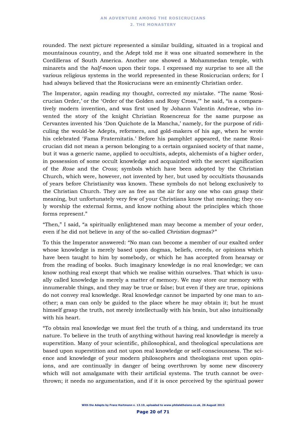rounded. The next picture represented a similar building, situated in a tropical and mountainous country, and the Adept told me it was one situated somewhere in the Cordilleras of South America. Another one showed a Mohammedan temple, with minarets and the *half-moon* upon their tops. I expressed my surprise to see all the various religious systems in the world represented in these Rosicrucian orders; for I had always believed that the Rosicrucians were an eminently Christian order.

The Imperator, again reading my thought, corrected my mistake. "The name 'Rosicrucian Order,' or the 'Order of the Golden and Rosy Cross,'" he said, "is a comparatively modern invention, and was first used by Johann Valentin Andreae, who invented the story of the knight Christian Rosencreuz for the same purpose as Cervantes invented his 'Don Quichote de la Mancha,' namely, for the purpose of ridiculing the would-be Adepts, reformers, and gold-makers of his age, when he wrote his celebrated 'Fama Fraternitatis.' Before his pamphlet appeared, the name Rosicrucian did not mean a person belonging to a certain organised society of that name, but it was a generic name, applied to occultists, adepts, alchemists of a higher order, in possession of some occult knowledge and acquainted with the secret signification of the *Rose* and the *Cross*; symbols which have been adopted by the Christian Church, which were, however, not invented by her, but used by occultists thousands of years before Christianity was known. These symbols do not belong exclusively to the Christian Church. They are as free as the air for any one who can grasp their meaning, but unfortunately very few of your Christians know that meaning; they only worship the external forms, and know nothing about the principles which those forms represent."

"Then," I said, "a spiritually enlightened man may become a member of your order, even if he did not believe in any of the so-called *Christian* dogmas?"

To this the Imperator answered: "No man can become a member of our exalted order whose knowledge is merely based upon dogmas, beliefs, creeds, or opinions which have been taught to him by somebody, or which he has accepted from hearsay or from the reading of books. Such imaginary knowledge is no real knowledge; we can know nothing real except that which we realise within ourselves. That which is usually called knowledge is merely a matter of memory. We may store our memory with innumerable things, and they may be true or false; but even if they are true, opinions do not convey real knowledge. Real knowledge cannot be imparted by one man to another; a man can only be guided to the place where he may obtain it; but he must himself grasp the truth, not merely intellectually with his brain, but also intuitionally with his heart.

"To obtain real knowledge we must feel the truth of a thing, and understand its true nature. To believe in the truth of anything without having real knowledge is merely a superstition. Many of your scientific, philosophical, and theological speculations are based upon superstition and not upon real knowledge or self-consciousness. The science and knowledge of your modern philosophers and theologians rest upon opinions, and are continually in danger of being overthrown by some new discovery which will not amalgamate with their artificial systems. The truth cannot be overthrown; it needs no argumentation, and if it is once perceived by the spiritual power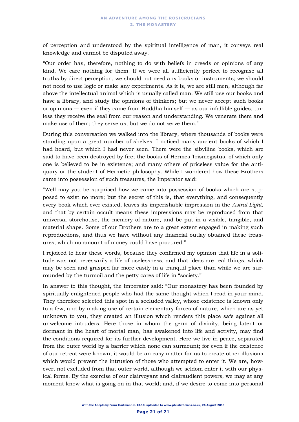of perception and understood by the spiritual intelligence of man, it conveys real knowledge and cannot be disputed away.

"Our order has, therefore, nothing to do with beliefs in creeds or opinions of any kind. We care nothing for them. If we were all sufficiently perfect to recognise all truths by direct perception, we should not need any books or instruments; we should not need to use logic or make any experiments. As it is, we are still men, although far above the intellectual animal which is usually called man. We still use our books and have a library, and study the opinions of thinkers; but we never accept such books or opinions — even if they came from Buddha himself — as our infallible guides, unless they receive the seal from our reason and understanding. We venerate them and make use of them; they serve us, but we do not serve them."

During this conversation we walked into the library, where thousands of books were standing upon a great number of shelves. I noticed many ancient books of which I had heard, but which I had never seen. There were the sibylline books, which are said to have been destroyed by fire; the books of Hermes Trismegistus, of which only one is believed to be in existence; and many others of priceless value for the antiquary or the student of Hermetic philosophy. While I wondered how these Brothers came into possession of such treasures, the Imperator said:

"Well may you be surprised how we came into possession of books which are supposed to exist no more; but the secret of this is, that everything, and consequently every book which ever existed, leaves its imperishable impression in the *Astral Light*, and that by certain occult means these impressions may be reproduced from that universal storehouse, the memory of nature, and be put in a visible, tangible, and material shape. Some of our Brothers are to a great extent engaged in making such reproductions, and thus we have without any financial outlay obtained these treasures, which no amount of money could have procured."

I rejoiced to hear these words, because they confirmed my opinion that life in a solitude was not necessarily a life of uselessness, and that ideas are real things, which may be seen and grasped far more easily in a tranquil place than while we are surrounded by the turmoil and the petty cares of life in "society."

In answer to this thought, the Imperator said: "Our monastery has been founded by spiritually enlightened people who had the same thought which I read in your mind. They therefore selected this spot in a secluded valley, whose existence is known only to a few, and by making use of certain elementary forces of nature, which are as yet unknown to you, they created an illusion which renders this place safe against all unwelcome intruders. Here those in whom the germ of divinity, being latent or dormant in the heart of mortal man, has awakened into life and activity, may find the conditions required for its further development. Here we live in peace, separated from the outer world by a barrier which none can surmount; for even if the existence of our retreat were known, it would be an easy matter for us to create other illusions which would prevent the intrusion of those who attempted to enter it. We are, however, not excluded from that outer world, although we seldom enter it with our physical forms. By the exercise of our clairvoyant and clairaudient powers, we may at any moment know what is going on in that world; and, if we desire to come into personal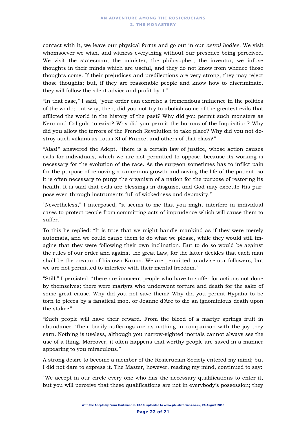contact with it, we leave our physical forms and go out in our *astral bodies*. We visit whomsoever we wish, and witness everything without our presence being perceived. We visit the statesman, the minister, the philosopher, the inventor; we infuse thoughts in their minds which are useful, and they do not know from whence those thoughts come. If their prejudices and predilections are very strong, they may reject those thoughts; but, if they are reasonable people and know how to discriminate, they will follow the silent advice and profit by it."

"In that case," I said, "your order can exercise a tremendous influence in the politics of the world; but why, then, did you not try to abolish some of the greatest evils that afflicted the world in the history of the past? Why did you permit such monsters as Nero and Caligula to exist? Why did you permit the horrors of the Inquisition? Why did you allow the terrors of the French Revolution to take place? Why did you not destroy such villains as Louis XI of France, and others of that class?"

"Alas!" answered the Adept, "there is a certain law of justice, whose action causes evils for individuals, which we are not permitted to oppose, because its working is necessary for the evolution of the race. As the surgeon sometimes has to inflict pain for the purpose of removing a cancerous growth and saving the life of the patient, so it is often necessary to purge the organism of a nation for the purpose of restoring its health. It is said that evils are blessings in disguise, and God may execute His purpose even through instruments full of wickedness and depravity."

"Nevertheless," I interposed, "it seems to me that you might interfere in individual cases to protect people from committing acts of imprudence which will cause them to suffer."

To this he replied: "It is true that we might handle mankind as if they were merely automata, and we could cause them to do what we please, while they would still imagine that they were following their own inclination. But to do so would be against the rules of our order and against the great Law, for the latter decides that each man shall be the creator of his own Karma. We are permitted to advise our followers, but we are not permitted to interfere with their mental freedom."

"Still," I persisted, "there are innocent people who have to suffer for actions not done by themselves; there were martyrs who underwent torture and death for the sake of some great cause. Why did you not save them? Why did you permit Hypatia to be torn to pieces by a fanatical mob, or Jeanne d'Arc to die an ignominious death upon the stake?"

"Such people will have their reward. From the blood of a martyr springs fruit in abundance. Their bodily sufferings are as nothing in comparison with the joy they earn. Nothing is useless, although you narrow-sighted mortals cannot always see the use of a thing. Moreover, it often happens that worthy people are saved in a manner appearing to you miraculous."

A strong desire to become a member of the Rosicrucian Society entered my mind; but I did not dare to express it. The Master, however, reading my mind, continued to say:

"We accept in our circle every one who has the necessary qualifications to enter it, but you will perceive that these qualifications are not in everybody's possession; they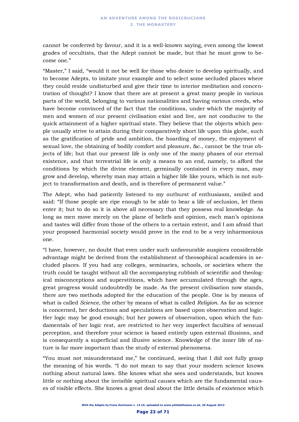cannot be conferred by favour, and it is a well-known saying, even among the lowest grades of occultists, that the Adept cannot be made, but that he must grow to become one."

"Master," I said, "would it not be well for those who desire to develop spiritually, and to become Adepts, to imitate your example and to select some secluded places where they could reside undisturbed and give their time to interior meditation and concentration of thought? I know that there are at present a great many people in various parts of the world, belonging to various nationalities and having various creeds, who have become convinced of the fact that the conditions, under which the majority of men and women of our present civilisation exist and live, are not conducive to the quick attainment of a higher spiritual state. They believe that the objects which people usually strive to attain during their comparatively short life upon this globe, such as the gratification of pride and ambition, the hoarding of money, the enjoyment of sexual love, the obtaining of bodily comfort and pleasure, &c., cannot be the true objects of life; but that our present life is only one of the many phases of our eternal existence, and that terrestrial life is only a means to an end, namely, to afford the conditions by which the divine element, germinally contained in every man, may grow and develop, whereby man may attain a higher life like yours, which is not subject to transformation and death, and is therefore of permanent value."

The Adept, who had patiently listened to my outburst of enthusiasm, smiled and said: "If those people are ripe enough to be able to bear a life of seclusion, let them enter it; but to do so it is above all necessary that they possess real knowledge. As long as men move merely on the plane of beliefs and opinion, each man's opinions and tastes will differ from those of the others to a certain extent, and I am afraid that your proposed harmonial society would prove in the end to be a very inharmonious one.

"I have, however, no doubt that even under such unfavourable auspices considerable advantage might be derived from the establishment of theosophical academies in secluded places. If you had any colleges, seminaries, schools, or societies where the truth could be taught without all the accompanying rubbish of scientific and theological misconceptions and superstitions, which have accumulated through the ages, great progress would undoubtedly be made. As the present civilisation now stands, there are two methods adopted for the education of the people. One is by means of what is called *Science*, the other by means of what is called *Religion*. As far as science is concerned, her deductions and speculations are based upon observation and logic. Her logic may be good enough; but her powers of observation, upon which the fundamentals of her logic rest, are restricted to her very imperfect faculties of sensual perception, and therefore your science is based entirely upon external illusions, and is consequently a superficial and illusive science. Knowledge of the inner life of nature is far more important than the study of external phenomena.

"You must not misunderstand me," he continued, seeing that I did not fully grasp the meaning of his words. "I do not mean to say that your modern science knows nothing about natural laws. She knows what she sees and understands, but knows little or nothing about the invisible spiritual causes which are the fundamental causes of visible effects. She knows a great deal about the little details of existence which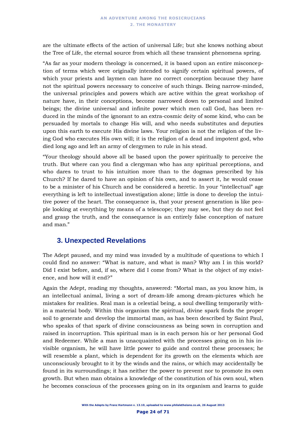are the ultimate effects of the action of universal Life; but she knows nothing about the Tree of Life, the eternal source from which all these transient phenomena spring.

"As far as your modern theology is concerned, it is based upon an entire misconception of terms which were originally intended to signify certain spiritual powers, of which your priests and laymen can have no correct conception because they have not the spiritual powers necessary to conceive of such things. Being narrow-minded, the universal principles and powers which are active within the great workshop of nature have, in their conceptions, become narrowed down to personal and limited beings; the divine universal and infinite power which men call God, has been reduced in the minds of the ignorant to an extra-cosmic deity of some kind, who can be persuaded by mortals to change His will, and who needs substitutes and deputies upon this earth to execute His divine laws. Your religion is not the religion of the living God who executes His own will; it is the religion of a dead and impotent god, who died long ago and left an army of clergymen to rule in his stead.

"Your theology should above all be based upon the power spiritually to perceive the truth. But where can you find a clergyman who has any spiritual perceptions, and who dares to trust to his intuition more than to the dogmas prescribed by his Church? If he dared to have an opinion of his own, and to assert it, he would cease to be a minister of his Church and be considered a heretic. In your "intellectual" age everything is left to intellectual investigation alone; little is done to develop the intuitive power of the heart. The consequence is, that your present generation is like people looking at everything by means of a telescope; they may see, but they do not feel and grasp the truth, and the consequence is an entirely false conception of nature and man."

## <span id="page-23-0"></span>**3. Unexpected Revelations**

The Adept paused, and my mind was invaded by a multitude of questions to which I could find no answer: "What is nature, and what is man? Why am I in this world? Did I exist before, and, if so, where did I come from? What is the object of my existence, and how will it end?"

Again the Adept, reading my thoughts, answered: "Mortal man, as you know him, is an intellectual animal, living a sort of dream-life among dream-pictures which he mistakes for realities. Real man is a celestial being, a soul dwelling temporarily within a material body. Within this organism the spiritual, divine spark finds the proper soil to generate and develop the immortal man, as has been described by Saint Paul, who speaks of that spark of divine consciousness as being sown in corruption and raised in incorruption. This spiritual man is in each person his or her personal God and Redeemer. While a man is unacquainted with the processes going on in his invisible organism, he will have little power to guide and control these processes; he will resemble a plant, which is dependent for its growth on the elements which are unconsciously brought to it by the winds and the rains, or which may accidentally be found in its surroundings; it has neither the power to prevent nor to promote its own growth. But when man obtains a knowledge of the constitution of his own soul, when he becomes conscious of the processes going on in its organism and learns to guide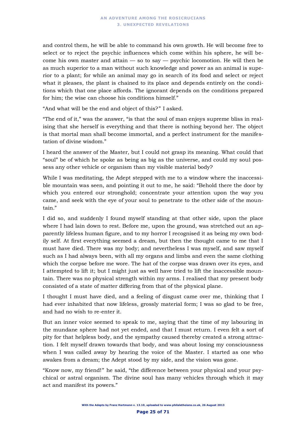and control them, he will be able to command his own growth. He will become free to select or to reject the psychic influences which come within his sphere, he will become his own master and attain  $-$  so to say  $-$  psychic locomotion. He will then be as much superior to a man without such knowledge and power as an animal is superior to a plant; for while an animal may go in search of its food and select or reject what it pleases, the plant is chained to its place and depends entirely on the conditions which that one place affords. The ignorant depends on the conditions prepared for him; the wise can choose his conditions himself."

"And what will be the end and object of this?" I asked.

"The end of it," was the answer, "is that the soul of man enjoys supreme bliss in realising that she herself is everything and that there is nothing beyond her. The object is that mortal man shall become immortal, and a perfect instrument for the manifestation of divine wisdom."

I heard the answer of the Master, but I could not grasp its meaning. What could that "soul" be of which he spoke as being as big as the universe, and could my soul possess any other vehicle or organism than my visible material body?

While I was meditating, the Adept stepped with me to a window where the inaccessible mountain was seen, and pointing it out to me, he said: "Behold there the door by which you entered our stronghold; concentrate your attention upon the way you came, and seek with the eye of your soul to penetrate to the other side of the mountain."

I did so, and suddenly I found myself standing at that other side, upon the place where I had lain down to rest. Before me, upon the ground, was stretched out an apparently lifeless human figure, and to my horror I recognised it as being my own bodily self. At first everything seemed a dream, but then the thought came to me that I must have died. There was my body; and nevertheless I was myself, and saw myself such as I had always been, with all my organs and limbs and even the same clothing which the corpse before me wore. The hat of the corpse was drawn over its eyes, and I attempted to lift it; but I might just as well have tried to lift the inaccessible mountain. There was no physical strength within my arms. I realised that my present body consisted of a state of matter differing from that of the physical plane.

I thought I must have died, and a feeling of disgust came over me, thinking that I had ever inhabited that now lifeless, grossly material form; I was so glad to be free, and had no wish to re-enter it.

But an inner voice seemed to speak to me, saying that the time of my labouring in the mundane sphere had not yet ended, and that I must return. I even felt a sort of pity for that helpless body, and the sympathy caused thereby created a strong attraction. I felt myself drawn towards that body, and was about losing my consciousness when I was called away by hearing the voice of the Master. I started as one who awakes from a dream; the Adept stood by my side, and the vision was gone.

"Know now, my friend!" he said, "the difference between your physical and your psychical or astral organism. The divine soul has many vehicles through which it may act and manifest its powers."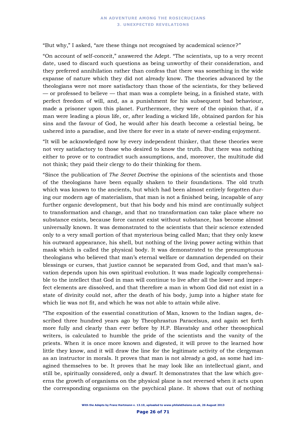"But why," I asked, "are these things not recognised by academical science?"

"On account of self-conceit," answered the Adept. "The scientists, up to a very recent date, used to discard such questions as being unworthy of their consideration, and they preferred annihilation rather than confess that there was something in the wide expanse of nature which they did not already know. The theories advanced by the theologians were not more satisfactory than those of the scientists, for they believed — or professed to believe — that man was a complete being, in a finished state, with perfect freedom of will, and, as a punishment for his subsequent bad behaviour, made a prisoner upon this planet. Furthermore, they were of the opinion that, if a man were leading a pious life, or, after leading a wicked life, obtained pardon for his sins and the favour of God, he would after his death become a celestial being, be ushered into a paradise, and live there for ever in a state of never-ending enjoyment.

"It will be acknowledged now by every independent thinker, that these theories were not very satisfactory to those who desired to know the truth. But there was nothing either to prove or to contradict such assumptions, and, moreover, the multitude did not think; they paid their clergy to do their thinking for them.

"Since the publication of *The Secret Doctrine* the opinions of the scientists and those of the theologians have been equally shaken to their foundations. The old truth which was known to the ancients, but which had been almost entirely forgotten during our modern age of materialism, that man is not a finished being, incapable of any further organic development, but that his body and his mind are continually subject to transformation and change, and that no transformation can take place where no substance exists, because force cannot exist without substance, has become almost universally known. It was demonstrated to the scientists that their science extended only to a very small portion of that mysterious being called Man; that they only knew his outward appearance, his shell, but nothing of the living power acting within that mask which is called the physical body. It was demonstrated to the presumptuous theologians who believed that man's eternal welfare or damnation depended on their blessings or curses, that justice cannot be separated from God, and that man's salvation depends upon his own spiritual evolution. It was made logically comprehensible to the intellect that God in man will continue to live after all the lower and imperfect elements are dissolved, and that therefore a man in whom God did not exist in a state of divinity could not, after the death of his body, jump into a higher state for which lie was not fit, and which he was not able to attain while alive.

"The exposition of the essential constitution of Man, known to the Indian sages, described three hundred years ago by Theophrastus Paracelsus, and again set forth more fully and clearly than ever before by H.P. Blavatsky and other theosophical writers, is calculated to humble the pride of the scientists and the vanity of the priests. When it is once more known and digested, it will prove to the learned how little they know, and it will draw the line for the legitimate activity of the clergyman as an instructor in morals. It proves that man is not already a god, as some had imagined themselves to be. It proves that he may look like an intellectual giant, and still be, spiritually considered, only a dwarf. It demonstrates that the law which governs the growth of organisms on the physical plane is not reversed when it acts upon the corresponding organisms on the psychical plane. It shows that out of nothing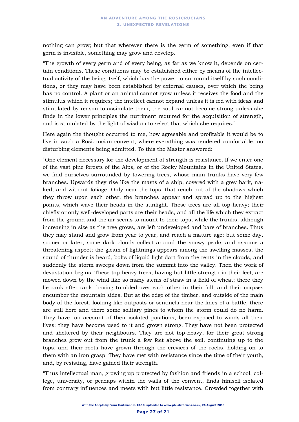nothing can grow; but that wherever there is the germ of something, even if that germ is invisible, something may grow and develop.

"The growth of every germ and of every being, as far as we know it, depends on certain conditions. These conditions may be established either by means of the intellectual activity of the being itself, which has the power to surround itself by such conditions, or they may have been established by external causes, over which the being has no control. A plant or an animal cannot grow unless it receives the food and the stimulus which it requires; the intellect cannot expand unless it is fed with ideas and stimulated by reason to assimilate them; the soul cannot become strong unless she finds in the lower principles the nutriment required for the acquisition of strength, and is stimulated by the light of wisdom to select that which she requires."

Here again the thought occurred to me, how agreeable and profitable it would be to live in such a Rosicrucian convent, where everything was rendered comfortable, no disturbing elements being admitted. To this the Master answered:

"One element necessary for the development of strength is resistance. If we enter one of the vast pine forests of the Alps, or of the Rocky Mountains in the United States, we find ourselves surrounded by towering trees, whose main trunks have very few branches. Upwards they rise like the masts of a ship, covered with a grey bark, naked, and without foliage. Only near the tops, that reach out of the shadows which they throw upon each other, the branches appear and spread up to the highest points, which wave their heads in the sunlight. These trees are all top-heavy; their chiefly or only well-developed parts are their heads, and all the life which they extract from the ground and the air seems to mount to their tops; while the trunks, although increasing in size as the tree grows, are left undeveloped and bare of branches. Thus they may stand and grow from year to year, and reach a mature age; but some day, sooner or later, some dark clouds collect around the snowy peaks and assume a threatening aspect; the gleam of lightnings appears among the swelling masses, the sound of thunder is heard, bolts of liquid light dart from the rents in the clouds, and suddenly the storm sweeps down from the summit into the valley. Then the work of devastation begins. These top-heavy trees, having but little strength in their feet, are mowed down by the wind like so many stems of straw in a field of wheat; there they lie rank after rank, having tumbled over each other in their fall, and their corpses encumber the mountain sides. But at the edge of the timber, and outside of the main body of the forest, looking like outposts or sentinels near the lines of a battle, there are still here and there some solitary pines to whom the storm could do no harm. They have, on account of their isolated positions, been exposed to winds all their lives; they have become used to it and grown strong. They have not been protected and sheltered by their neighbours. They are not top-heavy, for their great strong branches grow out from the trunk a few feet above the soil, continuing up to the tops, and their roots have grown through the crevices of the rocks, holding on to them with an iron grasp. They have met with resistance since the time of their youth, and, by resisting, have gained their strength.

"Thus intellectual man, growing up protected by fashion and friends in a school, college, university, or perhaps within the walls of the convent, finds himself isolated from contrary influences and meets with but little resistance. Crowded together with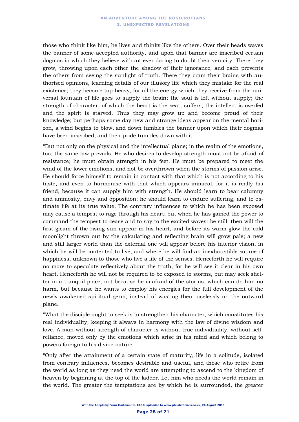those who think like him, he lives and thinks like the others. Over their heads waves the banner of some accepted authority, and upon that banner are inscribed certain dogmas in which they believe without ever daring to doubt their veracity. There they grow, throwing upon each other the shadow of their ignorance, and each prevents the others from seeing the sunlight of truth. There they cram their brains with authorised opinions, learning details of our illusory life which they mistake for the real existence; they become top-heavy, for all the energy which they receive from the universal fountain of life goes to supply the brain; the soul is left without supply; the strength of character, of which the heart is the seat, suffers; the intellect is overfed and the spirit is starved. Thus they may grow up and become proud of their knowledge; but perhaps some day new and strange ideas appear on the mental horizon, a wind begins to blow, and down tumbles the banner upon which their dogmas have been inscribed, and their pride tumbles down with it.

"But not only on the physical and the intellectual plane; in the realm of the emotions, too, the same law prevails. He who desires to develop strength must not be afraid of resistance; he must obtain strength in his feet. He must be prepared to meet the wind of the lower emotions, and not be overthrown when the storms of passion arise. He should force himself to remain in contact with that which is not according to his taste, and even to harmonise with that which appears inimical, for it is really his friend, because it can supply him with strength. He should learn to bear calumny and animosity, envy and opposition; he should learn to endure suffering, and to estimate life at its true value. The contrary influences to which he has been exposed may cause a tempest to rage through his heart; but when he has gained the power to command the tempest to cease and to say to the excited waves: be still! then will the first gleam of the rising sun appear in his heart, and before its warm glow the cold moonlight thrown out by the calculating and reflecting brain will grow pale; a new and still larger world than the external one will appear before his interior vision, in which he will be contented to live, and where he will find an inexhaustible source of happiness, unknown to those who live a life of the senses. Henceforth he will require no more to speculate reflectively about the truth, for he will see it clear in his own heart. Henceforth he will not be required to be exposed to storms, but may seek shelter in a tranquil place; not because he is afraid of the storms, which can do him no harm, but because he wants to employ his energies for the full development of the newly awakened spiritual germ, instead of wasting them uselessly on the outward plane.

"What the disciple ought to seek is to strengthen his character, which constitutes his real individuality; keeping it always in harmony with the law of divine wisdom and love. A man without strength of character is without true individuality, without selfreliance, moved only by the emotions which arise in his mind and which belong to powers foreign to his divine nature.

"Only after the attainment of a certain state of maturity, life in a solitude, isolated from contrary influences, becomes desirable and useful, and those who retire from the world as long as they need the world are attempting to ascend to the kingdom of heaven by beginning at the top of the ladder. Let him who needs the world remain in the world. The greater the temptations are by which he is surrounded, the greater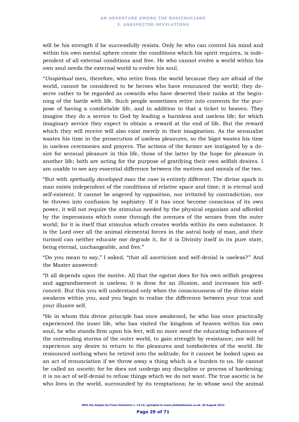will be his strength if he successfully resists. Only he who can control his mind and within his own mental sphere create the conditions which his spirit requires, is independent of all external conditions and free. He who cannot evolve a world within his own soul needs the external world to evolve his soul.

"*Unspiritual* men, therefore, who retire from the world because they are afraid of the world, cannot be considered to be heroes who have renounced the world; they deserve rather to be regarded as cowards who have deserted their ranks at the beginning of the battle with life. Such people sometimes retire into convents for the purpose of having a comfortable life, and in addition to that a ticket to heaven. They imagine they do a service to God by leading a harmless and useless life; for which imaginary service they expect to obtain a reward at the end of life. But the reward which they will receive will also exist merely in their imagination. As the sensualist wastes his time in the prosecution of useless pleasures, so the bigot wastes his time in useless ceremonies and prayers. The actions of the former are instigated by a desire for sensual pleasure in this life, those of the latter by the hope for pleasure in another life; both are acting for the purpose of gratifying their own selfish desires. I am unable to see any essential difference between the motives and morals of the two.

"But with *spiritually developed* man the case is entirely different. The divine spark in man exists independent of the conditions of relative space and time; it is eternal and self-existent. It cannot be angered by opposition, nor irritated by contradiction, nor be thrown into confusion by sophistry. If it has once become conscious of its own power, it will not require the stimulus needed by the physical organism and afforded by the impressions which come through the avenues of the senses from the outer world; for it is itself that stimulus which creates worlds within its own substance. It is the Lord over all the animal elemental forces in the astral body of man, and their turmoil can neither educate nor degrade it, for it is Divinity itself in its pure state, being eternal, unchangeable, and free."

"Do you mean to say," I asked, "that all asceticism and self-denial is useless?" And the Master answered:

"It all depends upon the motive. All that the egotist does for his own selfish progress and aggrandisement is useless; it is done for an illusion, and increases his selfconceit. But this you will understand only when the consciousness of the divine state awakens within you, and you begin to realise the difference between your true and your illusive self.

"He in whom this divine principle has once awakened, he who has once practically experienced the inner life, who has visited the kingdom of heaven within his own soul, he who stands firm upon his feet, will no more need the educating influences of the contending storms of the outer world, to gain strength by resistance; nor will he experience any desire to return to the pleasures and tomfooleries of the world. He renounced nothing when he retired into the solitude; for it cannot be looked upon as an act of renunciation if we throw away a thing which is a burden to us. He cannot be called an *ascetic*; for he does not undergo any discipline or process of hardening; it is no act of self-denial to refuse things which we do not want. The true ascetic is he who lives in the world, surrounded by its temptations; he in whose soul the animal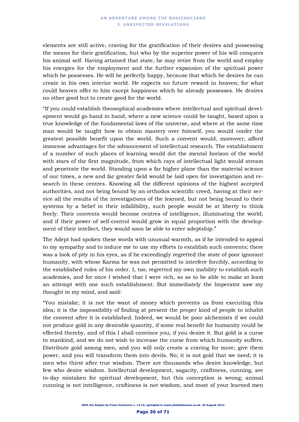elements are still active, craving for the gratification of their desires and possessing the means for their gratification, but who by the superior power of his will conquers his animal self. Having attained that state, he may retire from the world and employ his energies for the employment and the further expansion of the spiritual power which he possesses. He will be perfectly happy, because that which he desires he can create in his own interior world. He expects no future reward in heaven; for what could heaven offer to him except happiness which he already possesses. He desires no other good but to create good for the world.

"If you could establish theosophical academies where intellectual and spiritual development would go hand in hand, where a new science could be taught, based upon a true knowledge of the fundamental laws of the universe, and where at the same time man would be taught how to obtain mastery over himself, you would confer the greatest possible benefit upon the world. Such a convent would, moreover, afford immense advantages for the advancement of intellectual research. The establishment of a number of such places of learning would dot the mental horizon of the world with stars of the first magnitude, from which rays of intellectual light would stream and penetrate the world. Standing upon a far higher plane than the material science of our times, a new and far greater field would be laid open for investigation and research in these centres. Knowing all the different opinions of the highest accepted authorities, and not being bound by an orthodox scientific creed, having at their service all the results of the investigations of the learned, but not being bound to their systems by a belief in their infallibility, such people would be at liberty to think freely. Their convents would become centres of intelligence, illuminating the world; and if their power of self-control would grow in equal proportion with the development of their intellect, they would soon be able to enter adeptship."

The Adept had spoken these words with unusual warmth, as if he intended to appeal to my sympathy and to induce me to use my efforts to establish such convents; there was a look of pity in his eyes, as if he exceedingly regretted the state of poor ignorant humanity, with whose Karma he was not permitted to interfere forcibly, according to the established rules of his order. I, too, regretted my own inability to establish such academies, and for once I wished that I were rich, so as to be able to make at least an attempt with one such establishment. But immediately the Imperator saw my thought in my mind, and said:

"You mistake; it is not the want of money which prevents us from executing this idea; it is the impossibility of finding at present the proper kind of people to inhabit the convent after it is established. Indeed, we would be poor alchemists if we could not produce gold in any desirable quantity, if some real benefit for humanity could be effected thereby, and of this I shall convince you, if you desire it. But gold is a curse to mankind, and we do not wish to increase the curse from which humanity suffers. Distribute gold among men, and you will only create a craving for more; give them power, and you will transform them into devils. No; it is not gold that we need; it is men who thirst after true wisdom. There are thousands who desire knowledge, but few who desire wisdom. Intellectual development, sagacity, craftiness, cunning, are to-day mistaken for spiritual development, but this conception is wrong; animal cunning is not intelligence, craftiness is not wisdom, and most of your learned men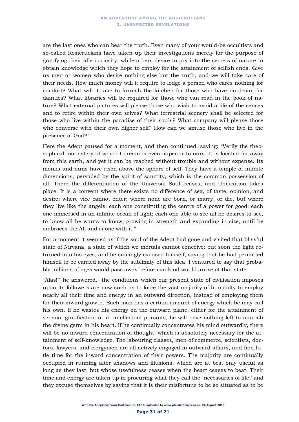are the last ones who can bear the truth. Even many of your would-be occultists and so-called Rosicrucians have taken up their investigations merely for the purpose of gratifying their idle curiosity, while others desire to pry into the secrets of nature to obtain knowledge which they hope to employ for the attainment of selfish ends. Give us men or women who desire nothing else but the truth, and we will take care of their needs. How much money will it require to lodge a person who cares nothing for comfort? What will it take to furnish the kitchen for those who have no desire for dainties? What libraries will be required for those who can read in the book of nature? What external pictures will please those who wish to avoid a life of the senses and to retire within their own selves? What terrestrial scenery shall be selected for those who live within the paradise of their souls? What company will please those who converse with their own higher self? How can we amuse those who live in the presence of God?"

Here the Adept paused for a moment, and then continued, saying: "Verily the theosophical monastery of which I dream is even superior to ours. It is located far away from this earth, and yet it can be reached without trouble and without expense. Its monks and nuns have risen above the sphere of self. They have a temple of infinite dimensions, pervaded by the spirit of sanctity, which is the common possession of all. There the differentiation of the Universal Soul ceases, and Unification takes place. It is a convent where there exists no difference of sex, of taste, opinion, and desire; where vice cannot enter; where none are born, or marry, or die, but where they live like the angels; each one constituting the centre of a power for good; each one immersed in an infinite ocean of light; each one able to see all he desires to see, to know all he wants to know, growing in strength and expanding in size, until he embraces the All and is one with it."

For a moment it seemed as if the soul of the Adept had gone and visited that blissful state of Nirvana, a state of which we mortals cannot conceive; but soon the light returned into his eyes, and he smilingly excused himself, saying that he had permitted himself to be carried away by the sublimity of this idea. I ventured to say that probably millions of ages would pass away before mankind would arrive at that state.

"Alas!" he answered, "the conditions which our present state of civilisation imposes upon its followers are now such as to force the vast majority of humanity to employ nearly all their time and energy in an outward direction, instead of employing them for their inward growth. Each man has a certain amount of energy which he may call his own. If he wastes his energy on the outward plane, either for the attainment of sensual gratification or in intellectual pursuits, he will have nothing left to nourish the divine germ in his heart. If he continually concentrates his mind outwardly, there will be no inward concentration of thought, which is absolutely necessary for the attainment of self-knowledge. The labouring classes, men of commerce, scientists, doctors, lawyers, and clergymen are all actively engaged in outward affairs, and find little time for the inward concentration of their powers. The majority are continually occupied in running after shadows and illusions, which are at best only useful as long as they last, but whose usefulness ceases when the heart ceases to beat. Their time and energy are taken up in procuring what they call the 'necessaries of life,' and they excuse themselves by saying that it is their misfortune to be so situated as to be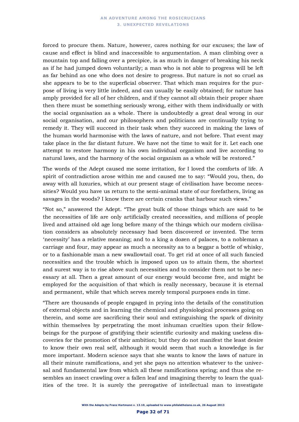forced to procure them. Nature, however, cares nothing for our excuses; the law of cause and effect is blind and inaccessible to argumentation. A man climbing over a mountain top and falling over a precipice, is as much in danger of breaking his neck as if he had jumped down voluntarily; a man who is not able to progress will be left as far behind as one who does not desire to progress. But nature is not so cruel as she appears to be to the superficial observer. That which man requires for the purpose of living is very little indeed, and can usually be easily obtained; for nature has amply provided for all of her children, and if they cannot all obtain their proper share then there must be something seriously wrong, either with them individually or with the social organisation as a whole. There is undoubtedly a great deal wrong in our social organisation, and our philosophers and politicians are continually trying to remedy it. They will succeed in their task when they succeed in making the laws of the human world harmonise with the laws of nature, and not before. That event may take place in the far distant future. We have not the time to wait for it. Let each one attempt to restore harmony in his own individual organism and live according to natural laws, and the harmony of the social organism as a whole will be restored."

The words of the Adept caused me some irritation, for I loved the comforts of life. A spirit of contradiction arose within me and caused me to say: "Would you, then, do away with all luxuries, which at our present stage of civilisation have become necessities? Would you have us return to the semi-animal state of our forefathers, living as savages in the woods? I know there are certain cranks that harbour such views."

"Not so," answered the Adept. "The great bulk of those things which are said to be the necessities of life are only artificially created necessities, and millions of people lived and attained old age long before many of the things which our modern civilisation considers as absolutely necessary had been discovered or invented. The term 'necessity' has a relative meaning; and to a king a dozen of palaces, to a nobleman a carriage and four, may appear as much a necessity as to a beggar a bottle of whisky, or to a fashionable man a new swallowtail coat. To get rid at once of all such fancied necessities and the trouble which is imposed upon us to attain them, the shortest and surest way is to rise above such necessities and to consider them not to be necessary at all. Then a great amount of our energy would become free, and might be employed for the acquisition of that which is really necessary, because it is eternal and permanent, while that which serves merely temporal purposes ends in time.

"There are thousands of people engaged in prying into the details of the constitution of external objects and in learning the chemical and physiological processes going on therein, and some are sacrificing their soul and extinguishing the spark of divinity within themselves by perpetrating the most inhuman cruelties upon their fellowbeings for the purpose of gratifying their scientific curiosity and making useless discoveries for the promotion of their ambition; but they do not manifest the least desire to know their own real self, although it would seem that such a knowledge is far more important. Modern science says that she wants to know the laws of nature in all their minute ramifications, and yet she pays no attention whatever to the universal and fundamental law from which all these ramifications spring; and thus she resembles an insect crawling over a fallen leaf and imagining thereby to learn the qualities of the tree. It is surely the prerogative of intellectual man to investigate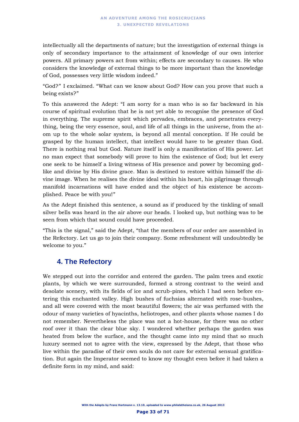intellectually all the departments of nature; but the investigation of external things is only of secondary importance to the attainment of knowledge of our own interior powers. All primary powers act from within; effects are secondary to causes. He who considers the knowledge of external things to be more important than the knowledge of God, possesses very little wisdom indeed."

"God?" I exclaimed. "What can we know about God? How can you prove that such a being exists?"

To this answered the Adept: "I am sorry for a man who is so far backward in his course of spiritual evolution that he is not yet able to recognise the presence of God in everything. The supreme spirit which pervades, embraces, and penetrates everything, being the very essence, soul, and life of all things in the universe, from the atom up to the whole solar system, is beyond all mental conception. If He could be grasped by the human intellect, that intellect would have to be greater than God. There is nothing real but God. Nature itself is only a manifestation of His power. Let no man expect that somebody will prove to him the existence of God; but let every one seek to be himself a living witness of His presence and power by becoming godlike and divine by His divine grace. Man is destined to restore within himself the divine image. When he realises the divine ideal within his heart, his pilgrimage through manifold incarnations will have ended and the object of his existence be accomplished. Peace be with you!"

As the Adept finished this sentence, a sound as if produced by the tinkling of small silver bells was heard in the air above our heads. I looked up, but nothing was to be seen from which that sound could have proceeded.

"This is the signal," said the Adept, "that the members of our order are assembled in the Refectory. Let us go to join their company. Some refreshment will undoubtedly be welcome to you."

# <span id="page-32-0"></span>**4. The Refectory**

We stepped out into the corridor and entered the garden. The palm trees and exotic plants, by which we were surrounded, formed a strong contrast to the weird and desolate scenery, with its fields of ice and scrub-pines, which I had seen before entering this enchanted valley. High bushes of fuchsias alternated with rose-bushes, and all were covered with the most beautiful flowers; the air was perfumed with the odour of many varieties of hyacinths, heliotropes, and other plants whose names I do not remember. Nevertheless the place was not a hot-house, for there was no other roof over it than the clear blue sky. I wondered whether perhaps the garden was heated from below the surface, and the thought came into my mind that so much luxury seemed not to agree with the view, expressed by the Adept, that those who live within the paradise of their own souls do not care for external sensual gratification. But again the Imperator seemed to know my thought even before it had taken a definite form in my mind, and said: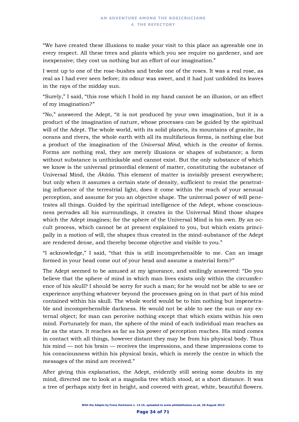"We have created these illusions to make your visit to this place an agreeable one in every respect. All these trees and plants which you see require no gardener, and are inexpensive; they cost us nothing but an effort of our imagination."

I went up to one of the rose-bushes and broke one of the roses. It was a real rose, as real as I had ever seen before; its odour was sweet, and it had just unfolded its leaves in the rays of the midday sun.

"Surely," I said, "this rose which I hold in my hand cannot be an illusion, or an effect of my imagination?"

"No," answered the Adept, "it is not produced by your own imagination, but it is a product of the imagination of nature, whose processes can be guided by the spiritual will of the Adept. The whole world, with its solid planets, its mountains of granite, its oceans and rivers, the whole earth with all its multifarious forms, is nothing else but a product of the imagination of the *Universal Mind*, which is the *creator* of forms. Forms are nothing real, they are merely illusions or shapes of substance; a form without substance is unthinkable and cannot exist. But the only substance of which we know is the universal primordial element of matter, constituting the substance of Universal Mind, the *Ākāśa*. This element of matter is invisibly present everywhere; but only when it assumes a certain state of density, sufficient to resist the penetrating influence of the terrestrial light, does it come within the reach of your sensual perception, and assume for you an objective shape. The universal power of will penetrates all things. Guided by the spiritual intelligence of the Adept, whose consciousness pervades all his surroundings, it creates in the Universal Mind those shapes which the Adept imagines; for the sphere of the Universal Mind is his own. By an occult process, which cannot be at present explained to you, but which exists principally in a motion of will, the shapes thus created in the mind-substance of the Adept are rendered dense, and thereby become objective and visible to you."

"I acknowledge," I said, "that this is still incomprehensible to me. Can an image formed in your head come out of your head and assume a material form?"

The Adept seemed to be amused at my ignorance, and smilingly answered: "Do you believe that the sphere of mind in which man lives exists only within the circumference of his skull? I should be sorry for such a man; for he would not be able to see or experience anything whatever beyond the processes going on in that part of his mind contained within his skull. The whole world would be to him nothing but impenetrable and incomprehensible darkness. He would not be able to see the sun or any external object; for man can perceive nothing except that which exists within his own mind. Fortunately for man, the sphere of the mind of each individual man reaches as far as the stars. It reaches as far as his power of perception reaches. His mind comes in contact with all things, however distant they may be from his physical body. Thus his mind — not his brain — receives the impressions, and these impressions come to his consciousness within his physical brain, which is merely the centre in which the messages of the mind are received."

After giving this explanation, the Adept, evidently still seeing some doubts in my mind, directed me to look at a magnolia tree which stood, at a short distance. It was a tree of perhaps sixty feet in height, and covered with great, white, beautiful flowers.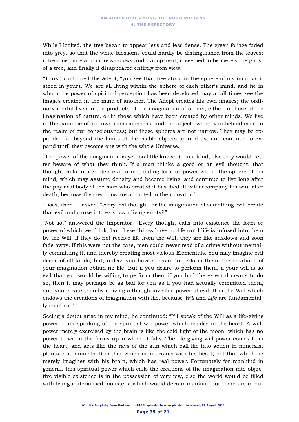While I looked, the tree began to appear less and less dense. The green foliage faded into grey, so that the white blossoms could hardly be distinguished from the leaves; it became more and more shadowy and transparent; it seemed to be merely the ghost of a tree, and finally it disappeared entirely from view.

"Thus," continued the Adept, "you see that tree stood in the sphere of my mind as it stood in yours. We are all living within the sphere of each other's mind, and he in whom the power of spiritual perception has been developed may at all times see the images created in the mind of another. The Adept creates his own images; the ordinary mortal lives in the products of the imagination of others, either in those of the imagination of nature, or in those which have been created by other minds. We live in the paradise of our own consciousness, and the objects which you behold exist in the realm of our consciousness; but these spheres are not narrow. They may be expanded far beyond the limits of the visible objects around us, and continue to expand until they become one with the whole Universe.

"The power of the imagination is yet too little known to mankind, else they would better beware of what they think. If a man thinks a good or an evil thought, that thought calls into existence a corresponding form or power within the sphere of his mind, which may assume density and become living, and continue to live long after the physical body of the man who created it has died. It will accompany his soul after death, because the creations are attracted to their creator."

"Does, then," I asked, "every evil thought, or the imagination of something evil, create that evil and cause it to exist as a living entity?"

"Not so," answered the Imperator. "Every thought calls into existence the form or power of which we think; but these things have no life until life is infused into them by the Will. If they do not receive life from the Will, they are like shadows and soon fade away. If this were not the case, men could never read of a crime without mentally committing it, and thereby creating most vicious Elementals. You may imagine evil deeds of all kinds; but, unless you have a desire to perform them, the creations of your imagination obtain no life. But if you desire to perform them, if your will is so evil that you would be willing to perform them if you had the external means to do so, then it may perhaps be as bad for you as if you had actually committed them, and you create thereby a living although invisible power of evil. It is the Will which endows the creations of imagination with life, because *Will* and *Life* are fundamentally identical."

Seeing a doubt arise in my mind, he continued: "If I speak of the Will as a life-giving power, I am speaking of the spiritual will-power which resides in the heart. A willpower merely exercised by the brain is like the cold light of the moon, which has no power to warm the forms upon which it falls. The life-giving will-power comes from the heart, and acts like the rays of the sun which call life into action in minerals, plants, and animals. It is that which man desires with his heart, not that which he merely imagines with his brain, which has real power. Fortunately for mankind in general, this spiritual power which calls the creations of the imagination into objective visible existence is in the possession of very few, else the world would be filled with living materialised monsters, which would devour mankind; for there are in our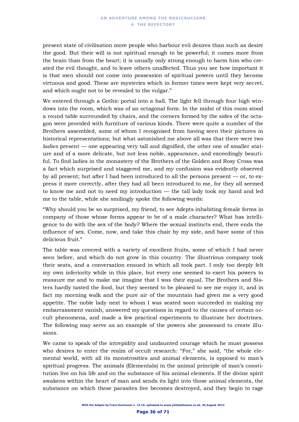present state of civilisation more people who harbour evil desires than such as desire the good. But their will is not spiritual enough to be powerful; it comes more from the brain than from the heart; it is usually only strong enough to harm him who created the evil thought, and to leave others unaffected. Thus you see how important it is that men should not come into possession of spiritual powers until they become virtuous and good. These are mysteries which in former times were kept very secret, and which ought not to be revealed to the vulgar."

We entered through a Gothic portal into a hall. The light fell through four high windows into the room, which was of an octagonal form. In the midst of this room stood a round table surrounded by chairs, and the corners formed by the sides of the octagon were provided with furniture of various kinds. There were quite a number of the Brothers assembled, some of whom I recognised from having seen their pictures in historical representations; but what astonished me above all was that there were two *ladies* present — one appearing very tall and dignified, the other one of smaller stature and of a more delicate, but not less noble, appearance, and exceedingly beautiful. To find ladies in the monastery of the Brothers of the Golden and Rosy Cross was a fact which surprised and staggered me, and my confusion was evidently observed by all present; but after I had been introduced to all the persons present — or, to express it more correctly, after they had all been introduced to me, for they all seemed to know me and not to need my introduction — the tall lady took my hand and led me to the table, while she smilingly spoke the following words:

"Why should you be so surprised, my friend, to see Adepts inhabiting female forms in company of those whose forms appear to be of a male character? What has intelligence to do with the sex of the body? Where the sexual instincts end, there ends the influence of sex. Come, now, and take this chair by my side, and have some of this delicious fruit."

The table was covered with a variety of excellent fruits, some of which I had never seen before, and which do not grow in this country. The illustrious company took their seats, and a conversation ensued in which all took part. I only too deeply felt my own inferiority while in this place, but every one seemed to exert his powers to reassure me and to make me imagine that I was their equal. The Brothers and Sisters hardly tasted the food, but they seemed to be pleased to see me enjoy it, and in fact my morning walk and the pure air of the mountain had given me a very good appetite. The noble lady next to whom I was seated soon succeeded in making my embarrassment vanish, answered my questions in regard to the causes of certain occult phenomena, and made a few practical experiments to illustrate her doctrines. The following may serve as an example of the powers she possessed to create illusions.

We came to speak of the intrepidity and undaunted courage which he must possess who desires to enter the realm of occult research: "For," she said, "the whole elemental world, with all its monstrosities and animal elements, is opposed to man's spiritual progress. The animals (Elementals) in the animal principle of man's constitution live on his life and on the substance of his animal elements. If the divine spirit awakens within the heart of man and sends its light into those animal elements, the substance on which these parasites live becomes destroyed, and they begin to rage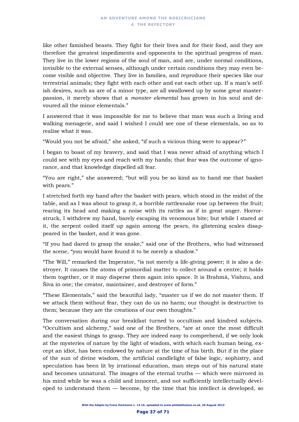like other famished beasts. They fight for their lives and for their food, and they are therefore the greatest impediments and opponents to the spiritual progress of man. They live in the lower regions of the soul of man, and are, under normal conditions, invisible to the external senses, although under certain conditions they may even become visible and objective. They live in families, and reproduce their species like our terrestrial animals; they fight with each other and eat each other up. If a man's selfish desires, such as are of a minor type, are all swallowed up by some great masterpassion, it merely shows that a *monster elemental* has grown in his soul and devoured all the minor elementals."

I answered that it was impossible for me to believe that man was such a living and walking menagerie, and said I wished I could see one of these elementals, so as to realise what it was.

"Would you not be afraid," she asked, "if such a vicious thing were to appear?"

I began to boast of my bravery, and said that I was never afraid of anything which I could see with my eyes and reach with my hands; that fear was the outcome of ignorance, and that knowledge dispelled all fear.

"You are right," she answered; "but will you be so kind as to hand me that basket with pears."

I stretched forth my hand after the basket with pears, which stood in the midst of the table, and as I was about to grasp it, a horrible rattlesnake rose up between the fruit; rearing its head and making a noise with its rattles as if in great anger. Horrorstruck, I withdrew my hand, barely escaping its venomous bite; but while I stared at it, the serpent coiled itself up again among the pears, its glistening scales disappeared in the basket, and it was gone.

"If you had dared to grasp the snake," said one of the Brothers, who had witnessed the scene, "you would have found it to be merely a shadow."

"The Will," remarked the Imperator, "is not merely a life-giving power; it is also a destroyer. It causes the atoms of primordial matter to collect around a centre; it holds them together, or it may disperse them again into space. It is Brahmā, Vishnu, and Śiva in one; the creator, maintainer, and destroyer of form."

"These Elementals," said the beautiful lady, "master us if we do not master them. If we attack them without fear, they can do us no harm; our thought is destructive to them; because they are the creations of our own thoughts."

The conversation during our breakfast turned to occultism and kindred subjects. "Occultism and alchemy," said one of the Brothers, "are at once the most difficult and the easiest things to grasp. They are indeed easy to comprehend, if we only look at the mysteries of nature by the light of wisdom, with which each human being, except an idiot, has been endowed by nature at the time of his birth. But if in the place of the sun of divine wisdom, the artificial candlelight of false logic, sophistry, and speculation has been lit by irrational education, man steps out of his natural state and becomes unnatural. The images of the eternal truths — which were mirrored in his mind while he was a child and innocent, and not sufficiently intellectually developed to understand them — become, by the time that his intellect is developed, so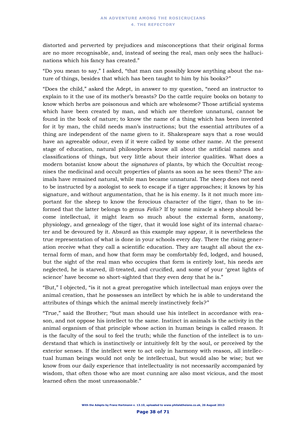distorted and perverted by prejudices and misconceptions that their original forms are no more recognisable, and, instead of seeing the real, man only sees the hallucinations which his fancy has created."

"Do you mean to say," I asked, "that man can possibly know anything about the nature of things, besides that which has been taught to him by his books?"

"Does the child," asked the Adept, in answer to my question, "need an instructor to explain to it the use of its mother's breasts? Do the cattle require books on botany to know which herbs are poisonous and which are wholesome? Those artificial systems which have been created by man, and which are therefore unnatural, cannot be found in the book of nature; to know the name of a thing which has been invented for it by man, the child needs man's instructions; but the essential attributes of a thing are independent of the name given to it. Shakespeare says that a rose would have an agreeable odour, even if it were called by some other name. At the present stage of education, natural philosophers know all about the artificial names and classifications of things, but very little about their interior qualities. What does a modern botanist know about the *signatures* of plants, by which the Occultist recognises the medicinal and occult properties of plants as soon as he sees them? The animals have remained natural, while man became unnatural. The sheep does not need to be instructed by a zoologist to seek to escape if a tiger approaches; it knows by his signature, and without argumentation, that he is his enemy. Is it not much more important for the sheep to know the ferocious character of the tiger, than to be informed that the latter belongs to genus *Felis*? If by some miracle a sheep should become intellectual, it might learn so much about the external form, anatomy, physiology, and genealogy of the tiger, that it would lose sight of its internal character and be devoured by it. Absurd as this example may appear, it is nevertheless the true representation of what is done in your schools every day. There the rising generation receive what they call a scientific education. They are taught all about the external form of man, and how that form may be comfortably fed, lodged, and housed, but the sight of the real man who occupies that form is entirely lost, his needs are neglected, he is starved, ill-treated, and crucified, and some of your 'great lights of science' have become so short-sighted that they even deny that he is."

"But," I objected, "is it not a great prerogative which intellectual man enjoys over the animal creation, that he possesses an intellect by which he is able to understand the attributes of things which the animal merely instinctively feels?"

"True," said the Brother; "but man should use his intellect in accordance with reason, and not oppose his intellect to the same. Instinct in animals is the activity in the animal organism of that principle whose action in human beings is called reason. It is the faculty of the soul to feel the truth; while the function of the intellect is to understand that which is instinctively or intuitively felt by the soul, or perceived by the exterior senses. If the intellect were to act only in harmony with reason, all intellectual human beings would not only be intellectual, but would also be wise; but we know from our daily experience that intellectuality is not necessarily accompanied by wisdom, that often those who are most cunning are also most vicious, and the most learned often the most unreasonable."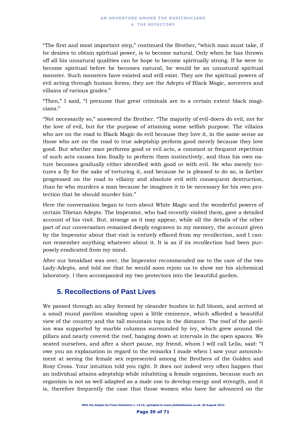"The first and most important step," continued the Brother, "which man must take, if he desires to obtain spiritual power, is to become natural. Only when he has thrown off all his unnatural qualities can he hope to become spiritually strong. If he were to become spiritual before he becomes natural, he would be an unnatural spiritual monster. Such monsters have existed and still exist. They are the spiritual powers of evil acting through human forms; they are the Adepts of Black Magic, sorcerers and villains of various grades."

"Then," I said, "I presume that great criminals are to a certain extent black magicians."

"Not necessarily so," answered the Brother. "The majority of evil-doers do evil, not for the love of evil, but for the purpose of attaining some selfish purpose. The villains who are on the road to Black Magic do evil because they love it, in the same sense as those who are on the road to true adeptship perform good merely because they love good. But whether man performs good or evil acts, a constant or frequent repetition of such acts causes him finally to perform them instinctively, and thus his own nature becomes gradually either identified with good or with evil. He who merely tortures a fly for the sake of torturing it, and because he is pleased to do so, is farther progressed on the road to villainy and absolute evil with consequent destruction, than he who murders a man because he imagines it to be necessary for his own protection that he should murder him."

Here the conversation began to turn about White Magic and the wonderful powers of certain Tibetan Adepts. The Imperator, who had recently visited them, gave a detailed account of his visit. But, strange as it may appear, while all the details of the other part of our conversation remained deeply engraven in my memory, the account given by the Imperator about that visit is entirely effaced from my recollection, and I cannot remember anything whatever about it. It is as if its recollection had been purposely eradicated from my mind.

After our breakfast was over, the Imperator recommended me to the care of the two Lady-Adepts, and told me that he would soon rejoin us to show me his alchemical laboratory. I then accompanied my two protectors into the beautiful garden.

# <span id="page-38-0"></span>**5. Recollections of Past Lives**

We passed through an alley formed by oleander bushes in full bloom, and arrived at a small round pavilion standing upon a little eminence, which afforded a beautiful view of the country and the tall mountain tops in the distance. The roof of the pavilion was supported by marble columns surrounded by ivy, which grew around the pillars and nearly covered the roof, hanging down at intervals in the open spaces. We seated ourselves, and after a short pause, my friend, whom I will call Leila, said: "I owe you an explanation in regard to the remarks I made when I saw your astonishment at seeing the female sex represented among the Brothers of the Golden and Rosy Cross. Your intuition told you right. It does not indeed very often happen that an individual attains adeptship while inhabiting a female organism, because such an organism is not as well adapted as a male one to develop energy and strength, and it is, therefore frequently the case that those women who have far advanced on the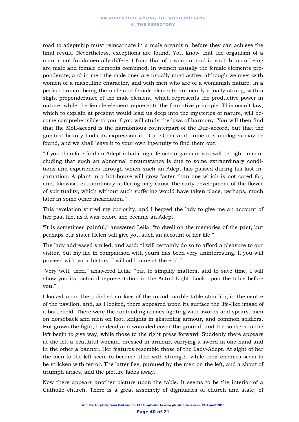road to adeptship must reincarnate in a male organism, before they can achieve the final result. Nevertheless, exceptions are found. You know that the organism of a man is not fundamentally different from that of a woman, and in each human being are male and female elements combined. In women usually the female elements preponderate, and in men the male ones are usually most active, although we meet with women of a masculine character, and with men who are of a womanish nature. In a perfect human being the male and female elements are nearly equally strong, with a slight preponderance of the male element, which represents the productive power in nature, while the female element represents the formative principle. This occult law, which to explain at present would lead us deep into the mysteries of nature, will become comprehensible to you if you will study the laws of harmony. You will then find that the Moll-accord is the harmonious counterpart of the Dur-accord, but that the greatest beauty finds its expression in Dur. Other and numerous analogies may be found, and we shall leave it to your own ingenuity to find them out.

"If you therefore find an Adept inhabiting a female organism, you will be right in concluding that such an abnormal circumstance is due to some extraordinary conditions and experiences through which such an Adept has passed during his last incarnation. A plant in a hot-house will grow faster than one which is not cared for, and, likewise, extraordinary suffering may cause the early development of the flower of spirituality, which without such suffering would have taken place, perhaps, much later in some other incarnation."

This revelation stirred my curiosity, and I begged the lady to give me an account of her past life, as it was before she became an Adept.

"It is sometimes painful," answered Leila, "to dwell on the memories of the past, but perhaps our sister Helen will give you such an account of her life."

The lady addressed smiled, and said: "I will certainly do so to afford a pleasure to our visitor, but my life in comparison with yours has been very uninteresting. If you will proceed with your history, I will add mine at the end."

"Very well, then," answered Leila; "but to simplify matters, and to save time, I will show you its pictorial representation in the Astral Light. Look upon the table before you."

I looked upon the polished surface of the round marble table standing in the centre of the pavilion, and, as I looked, there appeared upon its surface the life-like image of a battlefield. There were the contending armies fighting with swords and spears, men on horseback and men on foot, knights in glistening armour, and common soldiers. Hot grows the fight; the dead and wounded cover the ground, and the soldiers to the left begin to give way, while those to the right press forward. Suddenly there appears at the left a beautiful woman, dressed in armour, carrying a sword in one hand and in the other a banner. Her features resemble those of the Lady-Adept. At sight of her the men to the left seem to become filled with strength, while their enemies seem to be stricken with terror. The latter flee, pursued by the men on the left, and a shout of triumph arises, and the picture fades away.

Now there appears another picture upon the table. It seems to be the interior of a Catholic church. There is a great assembly of dignitaries of church and state, of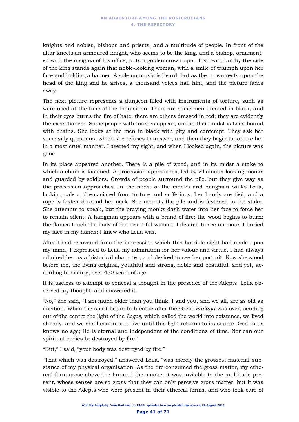knights and nobles, bishops and priests, and a multitude of people. In front of the altar kneels an armoured knight, who seems to be the king, and a bishop, ornamented with the insignia of his office, puts a golden crown upon his head; but by the side of the king stands again that noble-looking woman, with a smile of triumph upon her face and holding a banner. A solemn music is heard, but as the crown rests upon the head of the king and he arises, a thousand voices hail him, and the picture fades away.

The next picture represents a dungeon filled with instruments of torture, such as were used at the time of the Inquisition. There are some men dressed in black, and in their eyes burns the fire of hate; there are others dressed in red; they are evidently the executioners. Some people with torches appear, and in their midst is Leila bound with chains. She looks at the men in black with pity and contempt. They ask her some silly questions, which she refuses to answer, and then they begin to torture her in a most cruel manner. I averted my sight, and when I looked again, the picture was gone.

In its place appeared another. There is a pile of wood, and in its midst a stake to which a chain is fastened. A procession approaches, led by villainous-looking monks and guarded by soldiers. Crowds of people surround the pile, but they give way as the procession approaches. In the midst of the monks and hangmen walks Leila, looking pale and emaciated from torture and sufferings; her hands are tied, and a rope is fastened round her neck. She mounts the pile and is fastened to the stake. She attempts to speak, but the praying monks dash water into her face to force her to remain silent. A hangman appears with a brand of fire; the wood begins to burn; the flames touch the body of the beautiful woman. I desired to see no more; I buried my face in my hands; I knew who Leila was.

After I had recovered from the impression which this horrible sight had made upon my mind, I expressed to Leila my admiration for her valour and virtue. I had always admired her as a historical character, and desired to see her portrait. Now she stood before me, the living original, youthful and strong, noble and beautiful, and yet, according to history, over 450 years of age.

It is useless to attempt to conceal a thought in the presence of the Adepts. Leila observed my thought, and answered it.

"No," she said, "I am much older than you think. I and you, and we all, are as old as creation. When the spirit began to breathe after the Great *Pralaya* was over, sending out of the centre the light of the *Logos*, which called the world into existence, we lived already, and we shall continue to live until this light returns to its source. God in us knows no age; He is eternal and independent of the conditions of time. Nor can our spiritual bodies be destroyed by fire."

"But," I said, "your body was destroyed by fire."

"That which was destroyed," answered Leila, "was merely the grossest material substance of my physical organisation. As the fire consumed the gross matter, my ethereal form arose above the fire and the smoke; it was invisible to the multitude present, whose senses are so gross that they can only perceive gross matter; but it was visible to the Adepts who were present in their ethereal forms, and who took care of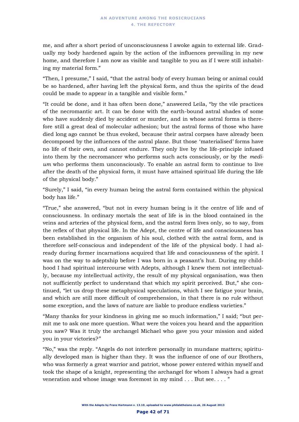me, and after a short period of unconsciousness I awoke again to external life. Gradually my body hardened again by the action of the influences prevailing in my new home, and therefore I am now as visible and tangible to you as if I were still inhabiting my material form."

"Then, I presume," I said, "that the astral body of every human being or animal could be so hardened, after having left the physical form, and thus the spirits of the dead could be made to appear in a tangible and visible form."

"It could be done, and it has often been done," answered Leila, "by the vile practices of the necromantic art. It can be done with the earth-bound astral shades of some who have suddenly died by accident or murder, and in whose astral forms is therefore still a great deal of molecular adhesion; but the astral forms of those who have died long ago cannot be thus evoked, because their astral corpses have already been decomposed by the influences of the astral plane. But those 'materialised' forms have no life of their own, and cannot endure. They only live by the life-principle infused into them by the necromancer who performs such acts consciously, or by the *medium* who performs them unconsciously. To enable an astral form to continue to live after the death of the physical form, it must have attained spiritual life during the life of the physical body."

"Surely," I said, "in every human being the astral form contained within the physical body has life."

"True," she answered, "but not in every human being is it the centre of life and of consciousness. In ordinary mortals the seat of life is in the blood contained in the veins and arteries of the physical form, and the astral form lives only, so to say, from the reflex of that physical life. In the Adept, the centre of life and consciousness has been established in the organism of his soul, clothed with the astral form, and is therefore self-conscious and independent of the life of the physical body. I had already during former incarnations acquired that life and consciousness of the spirit. I was on the way to adeptship before I was born in a peasant's hut. During my childhood I had spiritual intercourse with Adepts, although I knew them not intellectually, because my intellectual activity, the result of my physical organisation, was then not sufficiently perfect to understand that which my spirit perceived. But," she continued, "let us drop these metaphysical speculations, which I see fatigue your brain, and which are still more difficult of comprehension, in that there is no rule without some exception, and the laws of nature are liable to produce endless varieties."

"Many thanks for your kindness in giving me so much information," I said; "but permit me to ask one more question. What were the voices you heard and the apparition you saw? Was it truly the archangel Michael who gave you your mission and aided you in your victories?"

"No," was the reply. "Angels do not interfere personally in mundane matters; spiritually developed man is higher than they. It was the influence of one of our Brothers, who was formerly a great warrior and patriot, whose power entered within myself and took the shape of a knight, representing the archangel for whom I always had a great veneration and whose image was foremost in my mind . . . But see. . . . "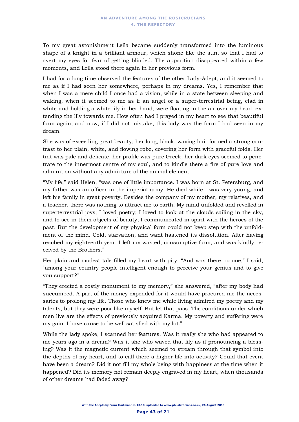To my great astonishment Leila became suddenly transformed into the luminous shape of a knight in a brilliant armour, which shone like the sun, so that I had to avert my eyes for fear of getting blinded. The apparition disappeared within a few moments, and Leila stood there again in her previous form.

I had for a long time observed the features of the other Lady-Adept; and it seemed to me as if I had seen her somewhere, perhaps in my dreams. Yes, I remember that when I was a mere child I once had a vision, while in a state between sleeping and waking, when it seemed to me as if an angel or a super-terrestrial being, clad in white and holding a white lily in her hand, were floating in the air over my head, extending the lily towards me. How often had I prayed in my heart to see that beautiful form again; and now, if I did not mistake, this lady was the form I had seen in my dream.

She was of exceeding great beauty; her long, black, waving hair formed a strong contrast to her plain, white, and flowing robe, covering her form with graceful folds. Her tint was pale and delicate, her profile was pure Greek; her dark eyes seemed to penetrate to the innermost centre of my soul, and to kindle there a fire of pure love and admiration without any admixture of the animal element.

"My life," said Helen, "was one of little importance. I was born at St. Petersburg, and my father was an officer in the imperial army. He died while I was very young, and left his family in great poverty. Besides the company of my mother, my relatives, and a teacher, there was nothing to attract me to earth. My mind unfolded and revelled in superterrestrial joys; I loved poetry; I loved to look at the clouds sailing in the sky, and to see in them objects of beauty; I communicated in spirit with the heroes of the past. But the development of my physical form could not keep step with the unfoldment of the mind. Cold, starvation, and want hastened its dissolution. After having reached my eighteenth year, I left my wasted, consumptive form, and was kindly received by the Brothers."

Her plain and modest tale filled my heart with pity. "And was there no one," I said, "among your country people intelligent enough to perceive your genius and to give you support?"

"They erected a costly monument to my memory," she answered, "after my body had succumbed. A part of the money expended for it would have procured me the necessaries to prolong my life. Those who knew me while living admired my poetry and my talents, but they were poor like myself. But let that pass. The conditions under which men live are the effects of previously acquired Karma. My poverty and suffering were my gain. I have cause to be well satisfied with my lot."

While the lady spoke, I scanned her features. Was it really she who had appeared to me years ago in a dream? Was it she who waved that lily as if pronouncing a blessing? Was it the magnetic current which seemed to stream through that symbol into the depths of my heart, and to call there a higher life into activity? Could that event have been a dream? Did it not fill my whole being with happiness at the time when it happened? Did its memory not remain deeply engraved in my heart, when thousands of other dreams had faded away?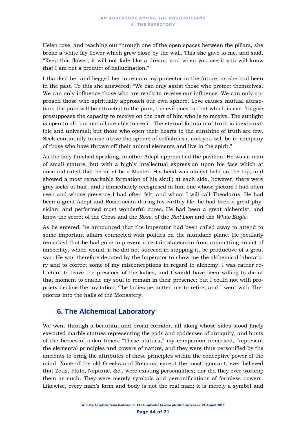Helen rose, and reaching out through one of the open spaces between the pillars, she broke a white lily flower which grew close by the wall. This she gave to me, and said, "Keep this flower; it will not fade like a dream; and when you see it you will know that I am not a product of hallucination."

I thanked her and begged her to remain my protector in the future, as she had been in the past. To this she answered: "We can only assist those who protect themselves. We can only influence those who are ready to receive our influence. We can only approach those who spiritually approach our own sphere. Love causes mutual attraction; the pure will be attracted to the pure, the evil ones to that which is evil. To give presupposes the capacity to receive on the part of him who is to receive. The sunlight is open to all, but not all are able to see it. The eternal fountain of truth is inexhaustible and universal; but those who open their hearts to the sunshine of truth are few. Seek continually to rise above the sphere of selfishness, and you will be in company of those who have thrown off their animal elements and live in the spirit."

As the lady finished speaking, another Adept approached the pavilion. He was a man of small stature, but with a highly intellectual expression upon his face which at once indicated that he must be a Master. His head was almost bald on the top, and showed a most remarkable formation of his skull; at each side, however, there were grey locks of hair, and I immediately recognised in him one whose picture I had often seen and whose presence I had often felt, and whom I will call Theodorus. He had been a great Adept and Rosicrucian during his earthly life; he had been a great physician, and performed most wonderful cures. He had been a great alchemist, and knew the secret of the Cross and the *Rose*, of the *Red Lion* and the *White Eagle*.

As he entered, he announced that the Imperator had been called away to attend to some important affairs connected with politics on the mundane plane. He jocularly remarked that he had gone to prevent a certain statesman from committing an act of imbecility, which would, if he did not succeed in stopping it, be productive of a great war. He was therefore deputed by the Imperator to show me the alchemical laboratory and to correct some of my misconceptions in regard to alchemy. I was rather reluctant to leave the presence of the ladies, and I would have been willing to die at that moment to enable my soul to remain in their presence; but I could not with propriety decline the invitation. The ladies permitted me to retire, and I went with Theodorus into the halls of the Monastery.

## <span id="page-43-0"></span>**6. The Alchemical Laboratory**

We went through a beautiful and broad corridor, all along whose sides stood finely executed marble statues representing the gods and goddesses of antiquity, and busts of the heroes of olden times. "These statues," my companion remarked, "represent the elemental principles and powers of nature, and they were thus personified by the ancients to bring the attributes of these principles within the conceptive power of the mind. None of the old Greeks and Romans, except the most ignorant, ever believed that Zeus, Pluto, Neptune, &c., were existing personalities; nor did they ever worship them as such. They were merely symbols and personifications of formless powers. Likewise, every man's form and body is not the real man; it is merely a symbol and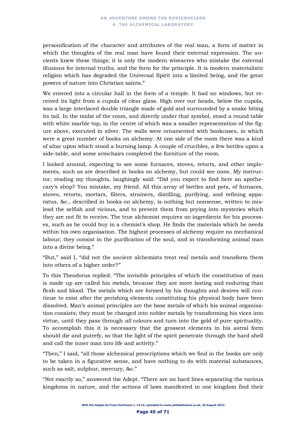personification of the character and attributes of the real man, a form of matter in which the thoughts of the real man have found their external expression. The ancients knew these things; it is only the modern wiseacres who mistake the external illusions for internal truths, and the form for the principle. It is modern materialistic religion which has degraded the Universal Spirit into a limited being, and the great powers of nature into Christian saints."

We entered into a circular hall in the form of a temple. It had no windows, but received its light from a cupola of clear glass. High over our heads, below the cupola, was a large interlaced double triangle made of gold and surrounded by a snake biting its tail. In the midst of the room, and directly under that symbol, stood a round table with white marble top, in the centre of which was a smaller representation of the figure above, executed in silver. The walls were ornamented with bookcases, in which were a great number of books on alchemy. At one side of the room there was a kind of altar upon which stood a burning lamp. A couple of crucibles, a few bottles upon a side-table, and some armchairs completed the furniture of the room.

I looked around, expecting to see some furnaces, stoves, retorts, and other implements, such as are described in books on alchemy, but could see none. My instructor, reading my thoughts, laughingly said: "Did you expect to find here an apothecary's shop? You mistake, my friend. All this array of bottles and pots, of furnaces, stoves, retorts, mortars, filters, strainers, distilling, purifying, and refining apparatus, &c., described in books on alchemy, is nothing but nonsense, written to mislead the selfish and vicious, and to prevent them from prying into mysteries which they are not fit to receive. The true alchemist requires no ingredients for his processes, such as he could buy in a chemist's shop. He finds the materials which he needs within his own organisation. The highest processes of alchemy require no mechanical labour; they consist in the purification of the soul, and in transforming animal man into a divine being."

"But," said I, "did not the ancient alchemists treat real metals and transform them into others of a higher order?"

To this Theodorus replied: "The invisible principles of which the constitution of man is made up are called his *metals*, because they are more lasting and enduring than flesh and blood. The metals which are formed by his thoughts and desires will continue to exist after the perishing elements constituting his physical body have been dissolved. Man's animal principles are the base metals of which his animal organisation consists; they must be changed into nobler metals by transforming his vices into virtue, until they pass through *all* colours and turn into the gold of pure spirituality. To accomplish this it is necessary that the grossest elements in his astral form should die and putrefy, so that the light of the spirit penetrate through the hard shell and call the inner man into life and activity."

"Then," I said, "all those alchemical prescriptions which we find in the books are only to be taken in a figurative sense, and have nothing to do with material substances, such as salt, sulphur, mercury, &c."

"Not exactly so," answered the Adept. "There are no hard lines separating the various kingdoms in nature, and the actions of laws manifested in one kingdom find their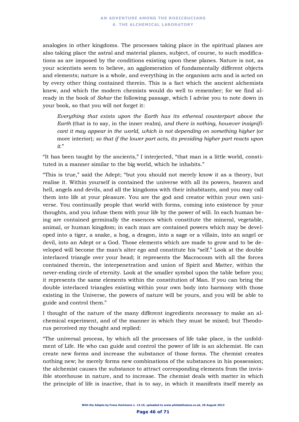analogies in other kingdoms. The processes taking place in the spiritual planes are also taking place the astral and material planes, subject, of course, to such modifications as are imposed by the conditions existing upon these planes. Nature is not, as your scientists seem to believe, an agglomeration of fundamentally different objects and elements; nature is a whole, and everything in the organism acts and is acted on by every other thing contained therein. This is a fact which the ancient alchemists knew, and which the modern chemists would do well to remember; for we find already in the book of *Sohar* the following passage, which I advise you to note down in your book, so that you will not forget it:

*Everything that exists upon the Earth has its ethereal counterpart above the Earth* (that is to say, in the inner realm), *and there is nothing, however insignificant it may appear in the world, which is not depending on something higher (or* more interior)*; so that if the lower part acts, its presiding higher part reacts upon it.*"

"It has been taught by the ancients," I interjected, "that man is a little world, constituted in a manner similar to the big world, which he inhabits."

"This is true," said the Adept; "but you should not merely know it as a theory, but realise it. Within yourself is contained the universe with all its powers, heaven and hell, angels and devils, and all the kingdoms with their inhabitants, and you may call them into life at your pleasure. You are the god and creator within your own universe. You continually people that world with forms, coming into existence by your thoughts, and you infuse them with your life by the power of will. In each human being are contained germinally the essences which constitute the mineral, vegetable, animal, or human kingdom; in each man are contained powers which may be developed into a tiger, a snake, a hog, a dragon, into a sage or a villain, into an angel or devil, into an Adept or a God. Those elements which are made to grow and to be developed will become the man's alter ego and constitute his "self." Look at the double interlaced triangle over your head; it represents the Macrocosm with all the forces contained therein, the interpenetration and union of Spirit and Matter, within the never-ending circle of eternity. Look at the smaller symbol upon the table before you; it represents the same elements within the constitution of Man. If you can bring the double interlaced triangles existing within your own body into harmony with those existing in the Universe, the powers of nature will be yours, and you will be able to guide and control them."

I thought of the nature of the many different ingredients necessary to make an alchemical experiment, and of the manner in which they must be mixed; but Theodorus perceived my thought and replied:

"The universal process, by which all the processes of life take place, is the unfoldment of Life. He who can guide and control the power of life is an alchemist. He can create new forms and increase the substance of those forms. The chemist creates nothing new; he merely forms new combinations of the substances in his possession; the alchemist causes the substance to attract corresponding elements from the invisible storehouse in nature, and to increase. The chemist deals with matter in which the principle of life is inactive, that is to say, in which it manifests itself merely as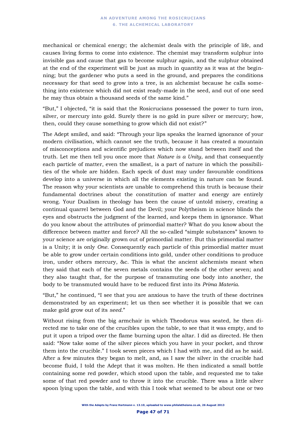mechanical or chemical energy; the alchemist deals with the principle of life, and causes living forms to come into existence. The chemist may transform sulphur into invisible gas and cause that gas to become sulphur again, and the sulphur obtained at the end of the experiment will be just as much in quantity as it was at the beginning; but the gardener who puts a seed in the ground, and prepares the conditions necessary for that seed to grow into a tree, is an alchemist because he calls something into existence which did not exist ready-made in the seed, and out of one seed he may thus obtain a thousand seeds of the same kind."

"But," I objected, "it is said that the Rosicrucians possessed the power to turn iron, silver, or mercury into gold. Surely there is no gold in pure silver or mercury; how, then, could they cause something to grow which did not exist?"

The Adept smiled, and said: "Through your lips speaks the learned ignorance of your modern civilisation, which cannot see the truth, because it has created a mountain of misconceptions and scientific prejudices which now stand between itself and the truth. Let me then tell you once more that *Nature is a Unity*, and that consequently each particle of matter, even the smallest, is a part of nature in which the possibilities of the whole are hidden. Each speck of dust may under favourable conditions develop into a universe in which all the elements existing in nature can be found. The reason why your scientists are unable to comprehend this truth is because their fundamental doctrines about the constitution of matter and energy are entirely wrong. Your Dualism in theology has been the cause of untold misery, creating a continual quarrel between God and the Devil; your Polytheism in science blinds the eyes and obstructs the judgment of the learned, and keeps them in ignorance. What do you know about the attributes of primordial matter? What do you know about the difference between matter and force? All the so-called "simple substances" known to your science are originally grown out of primordial matter. But this primordial matter is a Unity; it is only *One*. Consequently each particle of this primordial matter must be able to grow under certain conditions into gold, under other conditions to produce iron, under others mercury, &c. This is what the ancient alchemists meant when they said that each of the seven metals contains the seeds of the other seven; and they also taught that, for the purpose of transmuting one body into another, the body to be transmuted would have to be reduced first into its *Prima Materia*.

"But," he continued, "I see that you are anxious to have the truth of these doctrines demonstrated by an experiment; let us then see whether it is possible that we can make gold grow out of its *seed*."

Without rising from the big armchair in which Theodorus was seated, he then directed me to take one of the crucibles upon the table, to see that it was empty, and to put it upon a tripod over the flame burning upon the altar. I did as directed. He then said: "Now take some of the silver pieces which you have in your pocket, and throw them into the crucible." I took seven pieces which I had with me, and did as he said. After a few minutes they began to melt, and, as I saw the silver in the crucible had become fluid, I told the Adept that it was molten. He then indicated a small bottle containing some red powder, which stood upon the table, and requested me to take some of that red powder and to throw it into the crucible. There was a little silver spoon lying upon the table, and with this I took what seemed to be about one or two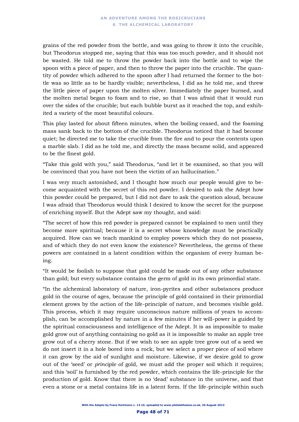grains of the red powder from the bottle, and was going to throw it into the crucible, but Theodorus stopped me, saying that this was too much powder, and it should not be wasted. He told me to throw the powder back into the bottle and to wipe the spoon with a piece of paper, and then to throw the paper into the crucible. The quantity of powder which adhered to the spoon after I had returned the former to the bottle was so little as to be hardly visible; nevertheless, I did as he told me, and threw the little piece of paper upon the molten silver. Immediately the paper burned, and the molten metal began to foam and to rise, so that I was afraid that it would run over the sides of the crucible; but each bubble burst as it reached the top, and exhibited a variety of the most beautiful colours.

This play lasted for about fifteen minutes, when the boiling ceased, and the foaming mass sank back to the bottom of the crucible. Theodorus noticed that it had become quiet; he directed me to take the crucible from the fire and to pour the contents upon a marble slab. I did as he told me, and directly the mass became solid, and appeared to be the finest gold.

"Take this gold with you," said Theodorus, "and let it be examined, so that you will be convinced that you have not been the victim of an hallucination."

I was very much astonished, and I thought how much our people would give to become acquainted with the secret of this red powder. I desired to ask the Adept how this powder could be prepared, but I did not dare to ask the question aloud, because I was afraid that Theodorus would think I desired to know the secret for the purpose of enriching myself. But the Adept saw my thought, and said:

"The secret of how this red powder is prepared cannot be explained to men until they become more spiritual; because it is a secret whose knowledge must be practically acquired. How can we teach mankind to employ powers which they do not possess, and of which they do not even know the existence? Nevertheless, the germs of these powers are contained in a latent condition within the organism of every human being.

"It would be foolish to suppose that gold could be made out of any other substance than gold; but every substance contains the germ of gold in its own primordial state.

"In the alchemical laboratory of nature, iron-pyrites and other substances produce gold in the course of ages, because the principle of gold contained in their primordial element grows by the action of the life-principle of nature, and becomes visible gold. This process, which it may require unconscious nature millions of years to accomplish, can be accomplished by nature in a few minutes if her will-power is guided by the spiritual consciousness and intelligence of the Adept. It is as impossible to make gold grow out of anything containing no gold as it is impossible to make an apple tree grow out of a cherry stone. But if we wish to see an apple tree grow out of a seed we do not insert it in a hole bored into a rock, but we select a proper piece of soil where it can grow by the aid of sunlight and moisture. Likewise, if we desire gold to grow out of the 'seed' or *principle* of gold, we must add the proper soil which it requires; and this 'soil' is furnished by the red powder, which contains the life-principle for the production of gold. Know that there is no 'dead' substance in the universe, and that even a stone or a metal contains life in a latent form. If the life-principle within such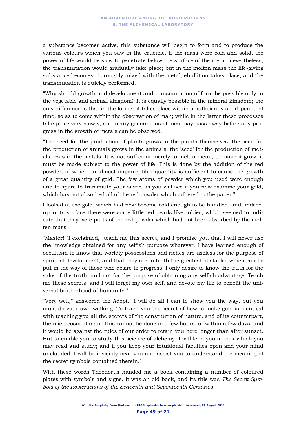a substance becomes active, this substance will begin to form and to produce the various colours which you saw in the crucible. If the mass were cold and solid, the power of life would be slow to penetrate below the surface of the metal; nevertheless, the transmutation would gradually take place; but in the molten mass the life-giving substance becomes thoroughly mixed with the metal, ebullition takes place, and the transmutation is quickly performed.

"Why should growth and development and transmutation of form be possible only in the vegetable and animal kingdom? It is equally possible in the mineral kingdom; the only difference is that in the former it takes place within a sufficiently short period of time, so as to come within the observation of man; while in the latter these processes take place very slowly, and many generations of men may pass away before any progress in the growth of metals can be observed.

"The seed for the production of plants grows in the plants themselves; the seed for the production of animals grows in the animals; the 'seed' for the production of metals rests in the metals. It is not sufficient merely to melt a metal, to make it grow; it must be made subject to the power of life. This is done by the addition of the red powder, of which an almost imperceptible quantity is sufficient to cause the growth of a great quantity of gold. The few atoms of powder which you used were enough and to spare to transmute your silver, as you will see if you now examine your gold, which has not absorbed all of the red powder which adhered to the paper."

I looked at the gold, which had now become cold enough to be handled, and, indeed, upon its surface there were some little red pearls like rubies, which seemed to indicate that they were parts of the red powder which had not been absorbed by the molten mass.

"Master! "I exclaimed, "teach me this secret, and I promise you that I will never use the knowledge obtained for any selfish purpose whatever. I have learned enough of occultism to know that worldly possessions and riches are useless for the purpose of spiritual development, and that they are in truth the greatest obstacles which can be put in the way of those who desire to progress. I only desire to know the truth for the sake of the truth, and not for the purpose of obtaining any selfish advantage. Teach me these secrets, and I will forget my own self, and devote my life to benefit the universal brotherhood of humanity."

"Very well," answered the Adept. "I will do all I can to show you the way, but you must do your own walking. To teach you the secret of how to make gold is identical with teaching you all the secrets of the constitution of nature, and of its counterpart, the microcosm of man. This cannot be done in a few hours, or within a few days, and it would be against the rules of our order to retain you here longer than after sunset. But to enable you to study this science of alchemy, I will lend you a book which you may read and study; and if you keep your intuitional faculties open and your mind unclouded, I will be invisibly near you and assist you to understand the meaning of the secret symbols contained therein."

With these words Theodorus handed me a book containing a number of coloured plates with symbols and signs. It was an old book, and its title was *The Secret Symbols of the Rosicrucians of the Sixteenth and Seventeenth Centuries*.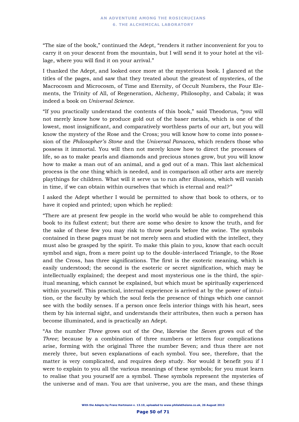"The size of the book," continued the Adept, "renders it rather inconvenient for you to carry it on your descent from the mountain, but I will send it to your hotel at the village, where you will find it on your arrival."

I thanked the Adept, and looked once more at the mysterious book. I glanced at the titles of the pages, and saw that they treated about the greatest of mysteries, of the Macrocosm and Microcosm, of Time and Eternity, of Occult Numbers, the Four Elements, the Trinity of All, of Regeneration, Alchemy, Philosophy, and Cabala; it was indeed a book on *Universal Science*.

"If you practically understand the contents of this book," said Theodorus, "you will not merely know how to produce gold out of the baser metals, which is one of the lowest, most insignificant, and comparatively worthless parts of our art, but you will know the mystery of the Rose and the Cross; you will know how to come into possession of the *Philosopher's Stone* and the *Universal Panacea*, which renders those who possess it immortal. You will then not merely know how to direct the processes of life, so as to make pearls and diamonds and precious stones grow, but you will know how to make a man out of an animal, and a god out of a man. This last alchemical process is the one thing which is needed, and in comparison all other arts are merely playthings for children. What will it serve us to run after illusions, which will vanish in time, if we can obtain within ourselves that which is eternal and real?"

I asked the Adept whether I would be permitted to show that book to others, or to have it copied and printed; upon which he replied:

"There are at present few people in the world who would be able to comprehend this book to its fullest extent; but there are some who desire to know the truth, and for the sake of these few you may risk to throw pearls before the swine. The symbols contained in these pages must be not merely seen and studied with the intellect, they must also be grasped by the spirit. To make this plain to you, know that each occult symbol and sign, from a mere point up to the double-interlaced Triangle, to the Rose and the Cross, has three significations. The first is the exoteric meaning, which is easily understood; the second is the esoteric or secret signification, which may be intellectually explained; the deepest and most mysterious one is the third, the spiritual meaning, which cannot be explained, but which must be spiritually experienced within yourself. This practical, internal experience is arrived at by the power of intuition, or the faculty by which the soul feels the presence of things which one cannot see with the bodily senses. If a person once feels interior things with his heart, sees them by his internal sight, and understands their attributes, then such a person has become illuminated, and is practically an Adept.

"As the number *Three* grows out of the *One*, likewise the *Seven* grows out of the *Three*; because by a combination of three numbers or letters four complications arise, forming with the original Three the number Seven; and thus there are not merely three, but seven explanations of each symbol. You see, therefore, that the matter is very complicated, and requires deep study. Nor would it benefit you if I were to explain to you all the various meanings of these symbols; for you must learn to realise that you yourself are a symbol. These symbols represent the mysteries of the universe and of man. You are that universe, you are the man, and these things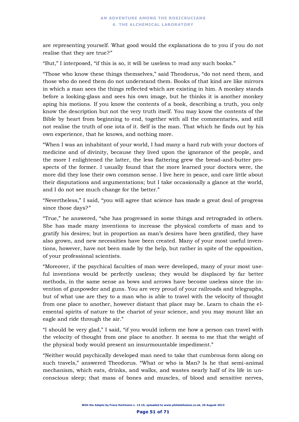are representing yourself. What good would the explanations do to you if you do not realise that they are true?"

"But," I interposed, "if this is so, it will be useless to read any such books."

"Those who know these things themselves," said Theodorus, "do not need them, and those who do need them do not understand them. Books of that kind are like mirrors in which a man sees the things reflected which are existing in him. A monkey stands before a looking-glass and sees his own image, but he thinks it is another monkey aping his motions. If you know the contents of a book, describing a truth, you only know the description but not the very truth itself. You may know the contents of the Bible by heart from beginning to end, together with all the commentaries, and still not realise the truth of one iota of it. Self is the man. That which he finds out by his own experience, that he knows, and nothing more.

"When I was an inhabitant of your world, I had many a hard rub with your doctors of medicine and of divinity, because they lived upon the ignorance of the people, and the more I enlightened the latter, the less flattering grew the bread-and-butter prospects of the former. I usually found that the more learned your doctors were, the more did they lose their own common sense. I live here in peace, and care little about their disputations and argumentations; but I take occasionally a glance at the world, and I do not see much change for the better."

"Nevertheless," I said, "you will agree that science has made a great deal of progress since those days?"

"True," he answered, "she has progressed in some things and retrograded in others. She has made many inventions to increase the physical comforts of man and to gratify his desires; but in proportion as man's desires have been gratified, they have also grown, and new necessities have been created. Many of your most useful inventions, however, have not been made by the help, but rather in spite of the opposition, of your professional scientists.

"Moreover, if the psychical faculties of man were developed, many of your most useful inventions would be perfectly useless; they would be displaced by far better methods, in the same sense as bows and arrows have become useless since the invention of gunpowder and guns. You are very proud of your railroads and telegraphs, but of what use are they to a man who is able to travel with the velocity of thought from one place to another, however distant that place may be. Learn to chain the elemental spirits of nature to the chariot of your science, and you may mount like an eagle and ride through the air."

"I should be very glad," I said, "if you would inform me how a person can travel with the velocity of thought from one place to another. It seems to me that the weight of the physical body would present an insurmountable impediment."

"Neither would psychically developed man need to take that cumbrous form along on such travels," answered Theodorus. "What or who is Man? Is he that semi-animal mechanism, which eats, drinks, and walks, and wastes nearly half of its life in unconscious sleep; that mass of bones and muscles, of blood and sensitive nerves,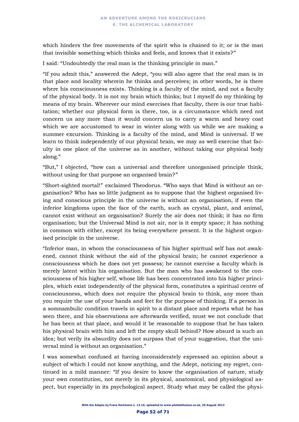which hinders the free movements of the spirit who is chained to it; or is the man that invisible something which thinks and feels, and knows that it exists?"

I said: "Undoubtedly the real man is the thinking principle in man."

"If you admit this," answered the Adept, "you will also agree that the real man is in that place and locality wherein he thinks and perceives; in other words, he is there where his consciousness exists. Thinking is a faculty of the mind, and not a faculty of the physical body. It is not my brain which thinks; but I myself do my thinking by means of my brain. Wherever our mind exercises that faculty, there is our true habitation; whether our physical form is there, too, is a circumstance which need not concern us any more than it would concern us to carry a warm and heavy coat which we are accustomed to wear in winter along with us while we are making a summer excursion. Thinking is a faculty of the mind, and Mind is universal. If we learn to think independently of our physical brain, we may as well exercise that faculty in one place of the universe as in another, without taking our physical body along."

"But," I objected, "how can a universal and therefore unorganised principle think, without using for that purpose an organised brain?"

"Short-sighted mortal!" exclaimed Theodorus. "Who says that Mind is without an organisation? Who has so little judgment as to suppose that the highest organised living and conscious principle in the universe is without an organisation, if even the inferior kingdoms upon the face of the earth, such as crystal, plant, and animal, cannot exist without an organisation? Surely the air does not think; it has no firm organisation; but the Universal Mind is not air, nor is it empty space; it has nothing in common with either, except its being everywhere present. It is the highest organised principle in the universe.

"Inferior man, in whom the consciousness of his higher spiritual self has not awakened, cannot think without the aid of the physical brain; he cannot experience a consciousness which he does not yet possess; he cannot exercise a faculty which is merely latent within his organisation. But the man who has awakened to the consciousness of his higher self, whose life has been concentrated into his higher principles, which exist independently of the physical form, constitutes a spiritual centre of consciousness, which does not require the physical brain to think, any more than you require the use of your hands and feet for the purpose of thinking. If a person in a somnambulic condition travels in spirit to a distant place and reports what he has seen there, and his observations are afterwards verified, must we not conclude that he has been at that place, and would it be reasonable to suppose that he has taken his physical brain with him and left the empty skull behind? How absurd is such an idea; but verily its absurdity does not surpass that of your suggestion, that the universal mind is without an organisation."

I was somewhat confused at having inconsiderately expressed an opinion about a subject of which I could not know anything, and the Adept, noticing my regret, continued in a mild manner: "If you desire to know the organisation of nature, study your own constitution, not merely in its physical, anatomical, and physiological aspect, but especially in its psychological aspect. Study what may be called the physi-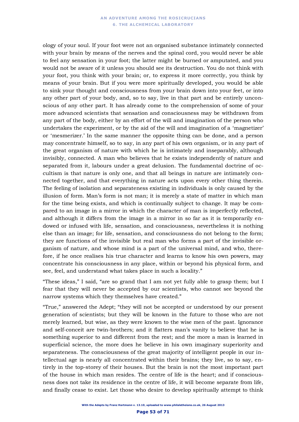ology of your soul. If your foot were not an organised substance intimately connected with your brain by means of the nerves and the spinal cord, you would never be able to feel any sensation in your foot; the latter might be burned or amputated, and you would not be aware of it unless you should see its destruction. You do not think with your foot, you think with your brain; or, to express it more correctly, you think by means of your brain. But if you were more spiritually developed, you would be able to sink your thought and consciousness from your brain down into your feet, or into any other part of your body, and, so to say, live in that part and be entirely unconscious of any other part. It has already come to the comprehension of some of your more advanced scientists that sensation and consciousness may be withdrawn from any part of the body, either by an effort of the will and imagination of the person who undertakes the experiment, or by the aid of the will and imagination of a 'magnetizer' or 'mesmerizer.' In the same manner the opposite thing can be done, and a person may concentrate himself, so to say, in any part of his own organism, or in any part of the great organism of nature with which he is intimately and inseparably, although invisibly, connected. A man who believes that he exists independently of nature and separated from it, labours under a great delusion. The fundamental doctrine of occultism is that nature is only one, and that all beings in nature are intimately connected together, and that everything in nature acts upon every other thing therein. The feeling of isolation and separateness existing in individuals is only caused by the illusion of form. Man's form is not man; it is merely a state of matter in which man for the time being exists, and which is continually subject to change. It may be compared to an image in a mirror in which the character of man is imperfectly reflected, and although it differs from the image in a mirror in so far as it is temporarily endowed or infused with life, sensation, and consciousness, nevertheless it is nothing else than an image; for life, sensation, and consciousness do not belong to the form; they are functions of the invisible but real man who forms a part of the invisible organism of nature, and whose mind is a part of the universal mind, and who, therefore, if he once realises his true character and learns to know his own powers, may concentrate his consciousness in any place, within or beyond his physical form, and see, feel, and understand what takes place in such a locality."

"These ideas," I said, "are so grand that I am not yet fully able to grasp them; but I fear that they will never be accepted by our scientists, who cannot see beyond the narrow systems which they themselves have created."

"True," answered the Adept; "they will not be accepted or understood by our present generation of scientists; but they will be known in the future to those who are not merely learned, but wise, as they were known to the wise men of the past. Ignorance and self-conceit are twin-brothers; and it flatters man's vanity to believe that he is something superior to and different from the rest; and the more a man is learned in superficial science, the more does he believe in his own imaginary superiority and separateness. The consciousness of the great majority of intelligent people in our intellectual age is nearly all concentrated within their brains; they live, so to say, entirely in the top-storey of their houses. But the brain is not the most important part of the house in which man resides. The centre of life is the heart; and if consciousness does not take its residence in the centre of life, it will become separate from life, and finally cease to exist. Let those who desire to develop spiritually attempt to think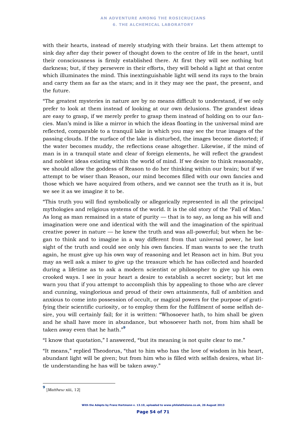with their hearts, instead of merely studying with their brains. Let them attempt to sink day after day their power of thought down to the centre of life in the heart, until their consciousness is firmly established there. At first they will see nothing but darkness; but, if they persevere in their efforts, they will behold a light at that centre which illuminates the mind. This inextinguishable light will send its rays to the brain and carry them as far as the stars; and in it they may see the past, the present, and the future.

"The greatest mysteries in nature are by no means difficult to understand, if we only prefer to look at them instead of looking at our own delusions. The grandest ideas are easy to grasp, if we merely prefer to grasp them instead of holding on to our fancies. Man's mind is like a mirror in which the ideas floating in the universal mind are reflected, comparable to a tranquil lake in which you may see the true images of the passing clouds. If the surface of the lake is disturbed, the images become distorted; if the water becomes muddy, the reflections cease altogether. Likewise, if the mind of man is in a tranquil state and clear of foreign elements, he will reflect the grandest and noblest ideas existing within the world of mind. If we desire to think reasonably, we should allow the goddess of Reason to do her thinking within our brain; but if we attempt to be wiser than Reason, our mind becomes filled with our own fancies and those which we have acquired from others, and we cannot see the truth as it is, but we see it as we imagine it to be.

"This truth you will find symbolically or allegorically represented in all the principal mythologies and religious systems of the world. It is the old story of the 'Fall of Man.' As long as man remained in a state of purity — that is to say, as long as his will and imagination were one and identical with the will and the imagination of the spiritual creative power in nature — he knew the truth and was all-powerful; but when he began to think and to imagine in a way different from that universal power, he lost sight of the truth and could see only his own fancies. If man wants to see the truth again, he must give up his own way of reasoning and let Reason act in him. But you may as well ask a miser to give up the treasure which he has collected and hoarded during a lifetime as to ask a modern scientist or philosopher to give up his own crooked ways. I see in your heart a desire to establish a secret society; but let me warn you that if you attempt to accomplish this by appealing to those who are clever and cunning, vainglorious and proud of their own attainments, full of ambition and anxious to come into possession of occult, or magical powers for the purpose of gratifying their scientific curiosity, or to employ them for the fulfilment of some selfish desire, you will certainly fail; for it is written: "Whosoever hath, to him shall be given and he shall have more in abundance, but whosoever hath not, from him shall be taken away even that he hath."**<sup>9</sup>**

"I know that quotation," I answered, "but its meaning is not quite clear to me."

"It means," replied Theodorus, "that to him who has the love of wisdom in his heart, abundant light will be given; but from him who is filled with selfish desires, what little understanding he has will be taken away."

-

**<sup>9</sup>** [*Matthew* xiii, 12]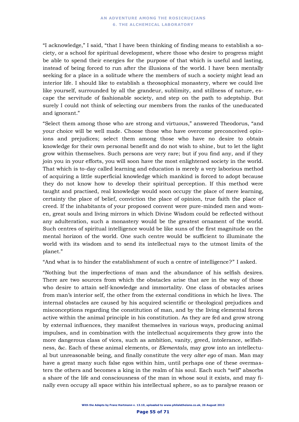"I acknowledge," I said, "that I have been thinking of finding means to establish a society, or a school for spiritual development, where those who desire to progress might be able to spend their energies for the purpose of that which is useful and lasting, instead of being forced to run after the illusions of the world. I have been mentally seeking for a place in a solitude where the members of such a society might lead an interior life. I should like to establish a theosophical monastery, where we could live like yourself, surrounded by all the grandeur, sublimity, and stillness of nature, escape the servitude of fashionable society, and step on the path to adeptship. But surely I could not think of selecting our members from the ranks of the uneducated and ignorant."

"Select them among those who are strong and virtuous," answered Theodorus, "and your choice will be well made. Choose those who have overcome preconceived opinions and prejudices; select them among those who have no desire to obtain knowledge for their own personal benefit and do not wish to shine, but to let the light grow within themselves. Such persons are very rare; but if you find any, and if they join you in your efforts, you will soon have the most enlightened society in the world. That which is to-day called learning and education is merely a very laborious method of acquiring a little superficial knowledge which mankind is forced to adopt because they do not know how to develop their spiritual perception. If this method were taught and practised, real knowledge would soon occupy the place of mere learning, certainty the place of belief, conviction the place of opinion, true faith the place of creed. If the inhabitants of your proposed convent were pure-minded men and women, great souls and living mirrors in which Divine Wisdom could be reflected without any adulteration, such a monastery would be the greatest ornament of the world. Such centres of spiritual intelligence would be like suns of the first magnitude on the mental horizon of the world. One such centre would be sufficient to illuminate the world with its wisdom and to send its intellectual rays to the utmost limits of the planet."

"And what is to hinder the establishment of such a centre of intelligence?" I asked.

"Nothing but the imperfections of man and the abundance of his selfish desires. There are two sources from which the obstacles arise that are in the way of those who desire to attain self-knowledge and immortality. One class of obstacles arises from man's interior self, the other from the external conditions in which he lives. The internal obstacles are caused by his acquired scientific or theological prejudices and misconceptions regarding the constitution of man, and by the living elemental forces active within the animal principle in his constitution. As they are fed and grow strong by external influences, they manifest themselves in various ways, producing animal impulses, and in combination with the intellectual acquirements they grow into the more dangerous class of vices, such as ambition, vanity, greed, intolerance, selfishness, &c. Each of these animal elements, or *Elementals*, may grow into an intellectual but unreasonable being, and finally constitute the very *alter ego* of man. Man may have a great many such false egos within him, until perhaps one of these overmasters the others and becomes a king in the realm of his soul. Each such "self" absorbs a share of the life and consciousness of the man in whose soul it exists, and may finally even occupy all space within his intellectual sphere, so as to paralyse reason or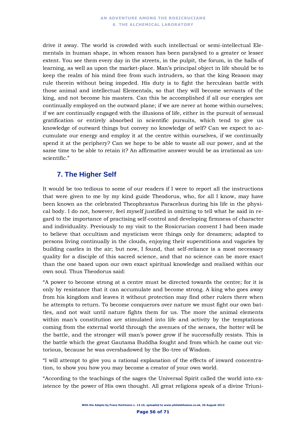drive it away. The world is crowded with such intellectual or semi-intellectual Elementals in human shape, in whom reason has been paralysed to a greater or lesser extent. You see them every day in the streets, in the pulpit, the forum, in the halls of learning, as well as upon the market-place. Man's principal object in life should be to keep the realm of his mind free from such intruders, so that the king Reason may rule therein without being impeded. His duty is to fight the herculean battle with those animal and intellectual Elementals, so that they will become servants of the king, and not become his masters. Can this be accomplished if all our energies are continually employed on the outward plane; if we are never at home within ourselves; if we are continually engaged with the illusions of life, either in the pursuit of sensual gratification or entirely absorbed in scientific pursuits, which tend to give us knowledge of outward things but convey no knowledge of self? Can we expect to accumulate our energy and employ it at the centre within ourselves, if we continually spend it at the periphery? Can we hope to be able to waste all our power, and at the same time to be able to retain it? An affirmative answer would be as irrational as unscientific."

# <span id="page-55-0"></span>**7. The Higher Self**

It would be too tedious to some of our readers if I were to report all the instructions that were given to me by my kind guide Theodorus, who, for all I know, may have been known as the celebrated Theophrastus Paracelsus during his life in the physical body. I do not, however, feel myself justified in omitting to tell what he said in regard to the importance of practising self-control and developing firmness of character and individuality. Previously to my visit to the Rosicrucian convent I had been made to believe that occultism and mysticism were things only for dreamers; adapted to persons living continually in the clouds, enjoying their superstitions and vagaries by building castles in the air; but now, I found, that self-reliance is a most necessary quality for a disciple of this sacred science, and that no science can be more exact than the one based upon our own exact spiritual knowledge and realised within our own soul. Thus Theodorus said:

"A power to become strong at a centre must be directed towards the centre; for it is only by resistance that it can accumulate and become strong. A king who goes away from his kingdom and leaves it without protection may find other rulers there when he attempts to return. To become conquerors over nature we must fight our own battles, and not wait until nature fights them for us. The more the animal elements within man's constitution are stimulated into life and activity by the temptations coming from the external world through the avenues of the senses, the hotter will be the battle, and the stronger will man's power grow if he successfully resists. This is the battle which the great Gautama Buddha fought and from which he came out victorious, because he was overshadowed by the Bo-tree of Wisdom.

"I will attempt to give you a rational explanation of the effects of inward concentration, to show you how you may become a creator of your own world.

"According to the teachings of the sages the Universal Spirit called the world into existence by the power of His own thought. All great religions speak of a divine Triuni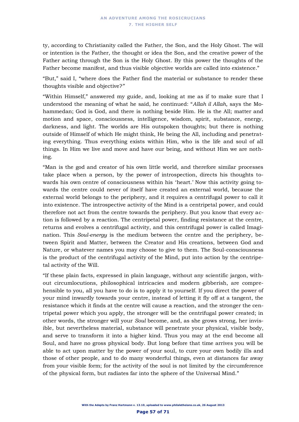ty, according to Christianity called the Father, the Son, and the Holy Ghost. The will or intention is the Father, the thought or idea the Son, and the creative power of the Father acting through the Son is the Holy Ghost. By this power the thoughts of the Father become manifest, and thus visible objective worlds are called into existence."

"But," said I, "where does the Father find the material or substance to render these thoughts visible and objective?"

"Within Himself," answered my guide, and, looking at me as if to make sure that I understood the meaning of what he said, he continued: "*Allah il Allah*, says the Mohammedan; God is God, and there is nothing beside Him. He is the All; matter and motion and space, consciousness, intelligence, wisdom, spirit, substance, energy, darkness, and light. The worlds are His outspoken thoughts; but there is nothing outside of Himself of which He might think, He being the All, including and penetrating everything. Thus everything exists within Him, who is the life and soul of all things. In Him we live and move and have our being, and without Him we are nothing.

"Man is the god and creator of his own little world, and therefore similar processes take place when a person, by the power of introspection, directs his thoughts towards his own centre of consciousness within his 'heart.' Now this activity going towards the centre could never of itself have created an external world, because the external world belongs to the periphery, and it requires a centrifugal power to call it into existence. The introspective activity of the Mind is a centripetal power, and could therefore not act from the centre towards the periphery. But you know that every action is followed by a reaction. The centripetal power, finding resistance at the centre, returns and evolves a centrifugal activity, and this centrifugal power is called Imagination. This *Soul-energy* is the medium between the centre and the periphery, between Spirit and Matter, between the Creator and His creations, between God and Nature, or whatever names you may choose to give to them. The Soul-consciousness is the product of the centrifugal activity of the Mind, put into action by the centripetal activity of the Will.

"If these plain facts, expressed in plain language, without any scientific jargon, without circumlocutions, philosophical intricacies and modern gibberish, are comprehensible to you, all you have to do is to apply it to yourself. If you direct the power of your mind inwardly towards your centre, instead of letting it fly off at a tangent, the resistance which it finds at the centre will cause a reaction, and the stronger the centripetal power which you apply, the stronger will be the centrifugal power created; in other words, the stronger will your *Soul* become, and, as she grows strong, her invisible, but nevertheless material, substance will penetrate your physical, visible body, and serve to transform it into a higher kind. Thus you may at the end become all Soul, and have no gross physical body. But long before that time arrives you will be able to act upon matter by the power of your soul, to cure your own bodily ills and those of other people, and to do many wonderful things, even at distances far away from your visible form; for the activity of the soul is not limited by the circumference of the physical form, but radiates far into the sphere of the Universal Mind."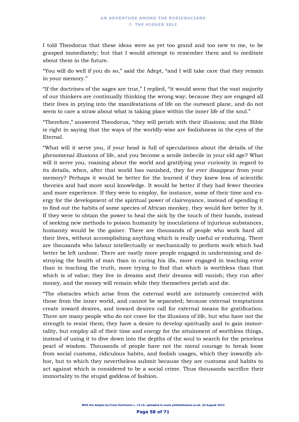I told Theodorus that these ideas were as yet too grand and too new to me, to be grasped immediately; but that I would attempt to remember them and to meditate about them in the future.

"You will do well if you do so," said the Adept, "and I will take care that they remain in your memory."

"If the doctrines of the sages are true," I replied, "it would seem that the vast majority of our thinkers are continually thinking the wrong way; because they are engaged all their lives in prying into the manifestations of life on the outward plane, and do not seem to care a straw about what is taking place within the inner life of the soul."

"Therefore," answered Theodorus, "they will perish with their illusions; and the Bible is right in saying that the ways of the worldly-wise are foolishness in the eyes of the Eternal.

"What will it serve you, if your head is full of speculations about the details of the phenomenal illusions of life, and you become a senile imbecile in your old age? What will it serve you, roaming about the world and gratifying your curiosity in regard to its details, when, after that world has vanished, they for ever disappear from your memory? Perhaps it would be better for the learned if they knew less of scientific theories and had more soul knowledge. It would be better if they had fewer theories and more experience. If they were to employ, for instance, some of their time and energy for the development of the spiritual power of clairvoyance, instead of spending it to find out the habits of some species of African monkey, they would fare better by it. If they were to obtain the power to heal the sick by the touch of their hands, instead of seeking new methods to poison humanity by inoculations of injurious substances, humanity would be the gainer. There are thousands of people who work hard all their lives, without accomplishing anything which is really useful or enduring. There are thousands who labour intellectually or mechanically to perform work which had better be left undone. There are vastly more people engaged in undermining and destroying the health of man than in curing his ills, more engaged in teaching error than in teaching the truth, more trying to find that which is worthless than that which is of value; they live in dreams and their dreams will vanish; they run after money, and the money will remain while they themselves perish and die.

"The obstacles which arise from the external world are intimately connected with those from the inner world, and cannot be separated; because external temptations create inward desires, and inward desires call for external means for gratification. There are many people who do not crave for the illusions of life, but who have not the strength to resist them; they have a desire to develop spiritually and to gain immortality, but employ all of their time and energy for the attainment of worthless things, instead of using it to dive down into the depths of the soul to search for the priceless pearl of wisdom. Thousands of people have not the moral courage to break loose from social customs, ridiculous habits, and foolish usages, which they inwardly abhor, but to which they nevertheless submit because they are customs and habits to act against which is considered to be a social crime. Thus thousands sacrifice their immortality to the stupid goddess of fashion.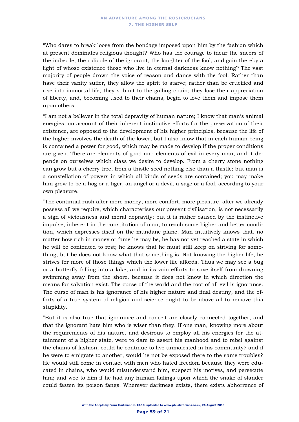"Who dares to break loose from the bondage imposed upon him by the fashion which at present dominates religious thought? Who has the courage to incur the sneers of the imbecile, the ridicule of the ignorant, the laughter of the fool, and gain thereby a light of whose existence those who live in eternal darkness know nothing? The vast majority of people drown the voice of reason and dance with the fool. Rather than have their vanity suffer, they allow the spirit to starve; rather than be crucified and rise into immortal life, they submit to the galling chain; they lose their appreciation of liberty, and, becoming used to their chains, begin to love them and impose them upon others.

"I am not a believer in the total depravity of human nature; I know that man's animal energies, on account of their inherent instinctive efforts for the preservation of their existence, are opposed to the development of his higher principles, because the life of the higher involves the death of the lower; but I also know that in each human being is contained a power for good, which may be made to develop if the proper conditions are given. There are elements of good and elements of evil in every man, and it depends on ourselves which class we desire to develop. From a cherry stone nothing can grow but a cherry tree, from a thistle seed nothing else than a thistle; but man is a constellation of powers in which all kinds of seeds are contained; you may make him grow to be a hog or a tiger, an angel or a devil, a sage or a fool, according to your own pleasure.

"The continual rush after more money, more comfort, more pleasure, after we already possess all we require, which characterises our present civilisation, is not necessarily a sign of viciousness and moral depravity; but it is rather caused by the instinctive impulse, inherent in the constitution of man, to reach some higher and better condition, which expresses itself on the mundane plane. Man intuitively knows that, no matter how rich in money or fame he may be, he has not yet reached a state in which he will be contented to rest; he knows that he must still keep on striving for something, but he does not know what that something is. Not knowing the higher life, he strives for more of those things which the lower life affords. Thus we may see a bug or a butterfly falling into a lake, and in its vain efforts to save itself from drowning swimming away from the shore, because it does not know in which direction the means for salvation exist. The curse of the world and the root of all evil is ignorance. The curse of man is his ignorance of his higher nature and final destiny, and the efforts of a true system of religion and science ought to be above all to remove this stupidity.

"But it is also true that ignorance and conceit are closely connected together, and that the ignorant hate him who is wiser than they. If one man, knowing more about the requirements of his nature, and desirous to employ all his energies for the attainment of a higher state, were to dare to assert his manhood and to rebel against the chains of fashion, could he continue to live unmolested in his community? and if he were to emigrate to another, would he not be exposed there to the same troubles? He would still come in contact with men who hated freedom because they were educated in chains, who would misunderstand him, suspect his motives, and persecute him; and woe to him if he had any human failings upon which the snake of slander could fasten its poison fangs. Wherever darkness exists, there exists abhorrence of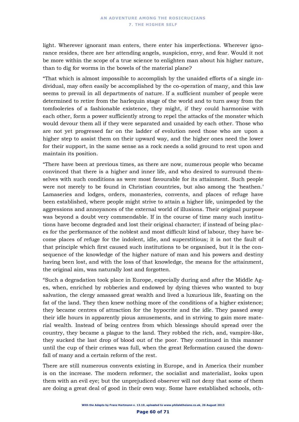light. Wherever ignorant man enters, there enter his imperfections. Wherever ignorance resides, there are her attending angels, suspicion, envy, and fear. Would it not be more within the scope of a true science to enlighten man about his higher nature, than to dig for worms in the bowels of the material plane?

"That which is almost impossible to accomplish by the unaided efforts of a single individual, may often easily be accomplished by the co-operation of many, and this law seems to prevail in all departments of nature. If a sufficient number of people were determined to retire from the harlequin stage of the world and to turn away from the tomfooleries of a fashionable existence, they might, if they could harmonise with each other, form a power sufficiently strong to repel the attacks of the monster which would devour them all if they were separated and unaided by each other. Those who are not yet progressed far on the ladder of evolution need those who are upon a higher step to assist them on their upward way, and the higher ones need the lower for their support, in the same sense as a rock needs a solid ground to rest upon and maintain its position.

"There have been at previous times, as there are now, numerous people who became convinced that there is a higher and inner life, and who desired to surround themselves with such conditions as were most favourable for its attainment. Such people were not merely to be found in Christian countries, but also among the 'heathen.' Lamaseries and lodges, orders, monasteries, convents, and places of refuge have been established, where people might strive to attain a higher life, unimpeded by the aggressions and annoyances of the external world of illusions. Their original purpose was beyond a doubt very commendable. If in the course of time many such institutions have become degraded and lost their original character; if instead of being places for the performance of the noblest and most difficult kind of labour, they have become places of refuge for the indolent, idle, and superstitious; it is not the fault of that principle which first caused such institutions to be organised, but it is the consequence of the knowledge of the higher nature of man and his powers and destiny having been lost, and with the loss of that knowledge, the means for the attainment, the original aim, was naturally lost and forgotten.

"Such a degradation took place in Europe, especially during and after the Middle Ages, when, enriched by robberies and endowed by dying thieves who wanted to buy salvation, the clergy amassed great wealth and lived a luxurious life, feasting on the fat of the land. They then knew nothing more of the conditions of a higher existence; they became centres of attraction for the hypocrite and the idle. They passed away their idle hours in apparently pious amusements, and in striving to gain more material wealth. Instead of being centres from which blessings should spread over the country, they became a plague to the land. They robbed the rich, and, vampire-like, they sucked the last drop of blood out of the poor. They continued in this manner until the cup of their crimes was full, when the great Reformation caused the downfall of many and a certain reform of the rest.

There are still numerous convents existing in Europe, and in America their number is on the increase. The modern reformer, the socialist and materialist, looks upon them with an evil eye; but the unprejudiced observer will not deny that some of them are doing a great deal of good in their own way. Some have established schools, oth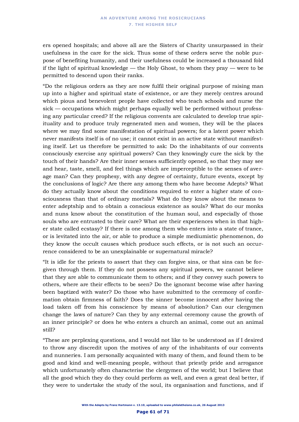ers opened hospitals; and above all are the Sisters of Charity unsurpassed in their usefulness in the care for the sick. Thus some of these orders serve the noble purpose of benefiting humanity, and their usefulness could be increased a thousand fold if the light of spiritual knowledge — the Holy Ghost, to whom they pray — were to be permitted to descend upon their ranks.

"Do the religious orders as they are now fulfil their original purpose of raising man up into a higher and spiritual state of existence, or are they merely centres around which pious and benevolent people have collected who teach schools and nurse the sick — occupations which might perhaps equally well be performed without professing any particular creed? If the religious convents are calculated to develop true spirituality and to produce truly regenerated men and women, they will be the places where we may find some manifestation of spiritual powers; for a latent power which never manifests itself is of no use; it cannot exist in an active state without manifesting itself. Let us therefore be permitted to ask: Do the inhabitants of our convents consciously exercise any spiritual powers? Can they knowingly cure the sick by the touch of their hands? Are their inner senses sufficiently opened, so that they may see and hear, taste, smell, and feel things which are imperceptible to the senses of average man? Can they prophesy, with any degree of certainty, future events, except by the conclusions of logic? Are there any among them who have become Adepts? What do they actually know about the conditions required to enter a higher state of consciousness than that of ordinary mortals? What do they know about the means to enter adeptship and to obtain a conscious existence as souls? What do our monks and nuns know about the constitution of the human soul, and especially of those souls who are entrusted to their care? What are their experiences when in that higher state called ecstasy? If there is one among them who enters into a state of trance, or is levitated into the air, or able to produce a simple mediumistic phenomenon, do they know the occult causes which produce such effects, or is not such an occurrence considered to be an unexplainable or supernatural miracle?

"It is idle for the priests to assert that they can forgive sins, or that sins can be forgiven through them. If they do not possess any spiritual powers, we cannot believe that they are able to communicate them to others; and if they convey such powers to others, where are their effects to be seen? Do the ignorant become wise after having been baptized with water? Do those who have submitted to the ceremony of confirmation obtain firmness of faith? Does the sinner become innocent after having the load taken off from his conscience by means of absolution? Can our clergymen change the laws of nature? Can they by any external ceremony cause the growth of an inner principle? or does he who enters a church an animal, come out an animal still?

"These are perplexing questions, and I would not like to be understood as if I desired to throw any discredit upon the motives of any of the inhabitants of our convents and nunneries. I am personally acquainted with many of them, and found them to be good and kind and well-meaning people, without that priestly pride and arrogance which unfortunately often characterise the clergymen of the world; but I believe that all the good which they do they could perform as well, and even a great deal better, if they were to undertake the study of the soul, its organisation and functions, and if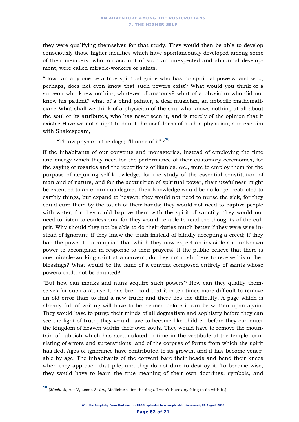they were qualifying themselves for that study. They would then be able to develop consciously those higher faculties which have spontaneously developed among some of their members, who, on account of such an unexpected and abnormal development, were called miracle-workers or saints.

"How can any one be a true spiritual guide who has no spiritual powers, and who, perhaps, does not even know that such powers exist? What would you think of a surgeon who knew nothing whatever of anatomy? what of a physician who did not know his patient? what of a blind painter, a deaf musician, an imbecile mathematician? What shall we think of a physician of the soul who knows nothing at all about the soul or its attributes, who has never seen it, and is merely of the opinion that it exists? Have we not a right to doubt the usefulness of such a physician, and exclaim with Shakespeare,

"Throw physic to the dogs; I'll none of it"?**<sup>10</sup>**

If the inhabitants of our convents and monasteries, instead of employing the time and energy which they need for the performance of their customary ceremonies, for the saying of rosaries and the repetitions of litanies, &c., were to employ them for the purpose of acquiring self-knowledge, for the study of the essential constitution of man and of nature, and for the acquisition of spiritual power, their usefulness might be extended to an enormous degree. Their knowledge would be no longer restricted to earthly things, but expand to heaven; they would not need to nurse the sick, for they could cure them by the touch of their hands; they would not need to baptize people with water, for they could baptize them with the spirit of sanctity; they would not need to listen to confessions, for they would be able to read the thoughts of the culprit. Why should they not be able to do their duties much better if they were wise instead of ignorant; if they knew the truth instead of blindly accepting a creed; if they had the power to accomplish that which they now expect an invisible and unknown power to accomplish in response to their prayers? If the public believe that there is one miracle-working saint at a convent, do they not rush there to receive his or her blessings? What would be the fame of a convent composed entirely of saints whose powers could not be doubted?

"But how can monks and nuns acquire such powers? How can they qualify themselves for such a study? It has been said that it is ten times more difficult to remove an old error than to find a new truth; and there lies the difficulty. A page which is already full of writing will have to be cleaned before it can be written upon again. They would have to purge their minds of all dogmatism and sophistry before they can see the light of truth; they would have to become like children before they can enter the kingdom of heaven within their own souls. They would have to remove the mountain of rubbish which has accumulated in time in the vestibule of the temple, consisting of errors and superstitions, and of the corpses of forms from which the spirit has fled. Ages of ignorance have contributed to its growth, and it has become venerable by age. The inhabitants of the convent bare their heads and bend their knees when they approach that pile, and they do not dare to destroy it. To become wise, they would have to learn the true meaning of their own doctrines, symbols, and

<sup>10</sup> [*Macbeth*, Act V, scene 3; *i.e.*, Medicine is for the dogs. I won't have anything to do with it.]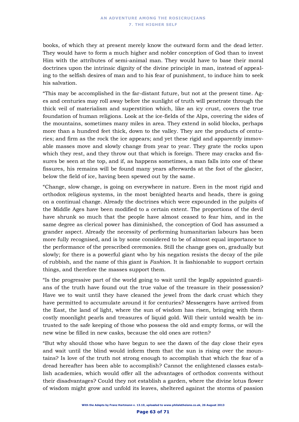books, of which they at present merely know the outward form and the dead letter. They would have to form a much higher and nobler conception of God than to invest Him with the attributes of semi-animal man. They would have to base their moral doctrines upon the intrinsic dignity of the divine principle in man, instead of appealing to the selfish desires of man and to his fear of punishment, to induce him to seek his salvation.

"This may be accomplished in the far-distant future, but not at the present time. Ages and centuries may roll away before the sunlight of truth will penetrate through the thick veil of materialism and superstition which, like an icy crust, covers the true foundation of human religions. Look at the ice-fields of the Alps, covering the sides of the mountains, sometimes many miles in area. They extend in solid blocks, perhaps more than a hundred feet thick, down to the valley. They are the products of centuries; and firm as the rock the ice appears; and yet these rigid and apparently immovable masses move and slowly change from year to year. They grate the rocks upon which they rest, and they throw out that which is foreign. There may cracks and fissures be seen at the top, and if, as happens sometimes, a man falls into one of these fissures, his remains will be found many years afterwards at the foot of the glacier, below the field of ice, having been spewed out by the same.

"Change, slow change, is going on everywhere in nature. Even in the most rigid and orthodox religious systems, in the most benighted hearts and heads, there is going on a continual change. Already the doctrines which were expounded in the pulpits of the Middle Ages have been modified to a certain extent. The proportions of the devil have shrunk so much that the people have almost ceased to fear him, and in the same degree as clerical power has diminished, the conception of God has assumed a grander aspect. Already the necessity of performing humanitarian labours has been more fully recognised, and is by some considered to be of almost equal importance to the performance of the prescribed ceremonies. Still the change goes on, gradually but slowly; for there is a powerful giant who by his negation resists the decay of the pile of rubbish, and the name of this giant is *Fashion*. It is fashionable to support certain things, and therefore the masses support them.

"Is the progressive part of the world going to wait until the legally appointed guardians of the truth have found out the true value of the treasure in their possession? Have we to wait until they have cleaned the jewel from the dark crust which they have permitted to accumulate around it for centuries? Messengers have arrived from the East, the land of light, where the sun of wisdom has risen, bringing with them costly moonlight pearls and treasures of liquid gold. Will their untold wealth be intrusted to the safe keeping of those who possess the old and empty forms, or will the new wine be filled in new casks, because the old ones are rotten?

"But why should those who have begun to see the dawn of the day close their eyes and wait until the blind would inform them that the sun is rising over the mountains? Is love of the truth not strong enough to accomplish that which the fear of a dread hereafter has been able to accomplish? Cannot the enlightened classes establish academies, which would offer all the advantages of orthodox convents without their disadvantages? Could they not establish a garden, where the divine lotus flower of wisdom might grow and unfold its leaves, sheltered against the storms of passion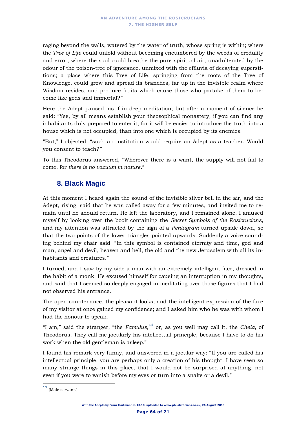raging beyond the walls, watered by the water of truth, whose spring is within; where the *Tree of Life* could unfold without becoming encumbered by the weeds of credulity and error; where the soul could breathe the pure spiritual air, unadulterated by the odour of the poison-tree of ignorance, unmixed with the effluvia of decaying superstitions; a place where this Tree of Life, springing from the roots of the Tree of Knowledge, could grow and spread its branches, far up in the invisible realm where Wisdom resides, and produce fruits which cause those who partake of them to become like gods and immortal?"

Here the Adept paused, as if in deep meditation; but after a moment of silence he said: "Yes, by all means establish your theosophical monastery, if you can find any inhabitants duly prepared to enter it; for it will be easier to introduce the truth into a house which is not occupied, than into one which is occupied by its enemies.

"But," I objected, "such an institution would require an Adept as a teacher. Would you consent to teach?"

To this Theodorus answered, "Wherever there is a want, the supply will not fail to come, for *there is no vacuum in nature*."

# <span id="page-63-0"></span>**8. Black Magic**

At this moment I heard again the sound of the invisible silver bell in the air, and the Adept, rising, said that he was called away for a few minutes, and invited me to remain until he should return. He left the laboratory, and I remained alone. I amused myself by looking over the book containing the *Secret Symbols of the Rosicrucians*, and my attention was attracted by the sign of a *Pentagram* turned upside down, so that the two points of the lower triangles pointed upwards. Suddenly a voice sounding behind my chair said: "In this symbol is contained eternity and time, god and man, angel and devil, heaven and hell, the old and the new Jerusalem with all its inhabitants and creatures."

I turned, and I saw by my side a man with an extremely intelligent face, dressed in the habit of a monk. He excused himself for causing an interruption in my thoughts, and said that I seemed so deeply engaged in meditating over those figures that I had not observed his entrance.

The open countenance, the pleasant looks, and the intelligent expression of the face of my visitor at once gained my confidence; and I asked him who he was with whom I had the honour to speak.

"I am," said the stranger, "the *Famulus*, **<sup>11</sup>** or, as you well may call it, the *Chela*, of Theodorus. They call me jocularly his intellectual principle, because I have to do his work when the old gentleman is asleep."

I found his remark very funny, and answered in a jocular way: "If you are called his intellectual principle, you are perhaps only a creation of his thought. I have seen so many strange things in this place, that I would not be surprised at anything, not even if you were to vanish before my eyes or turn into a snake or a devil."

-

**<sup>11</sup>** [Male servant.]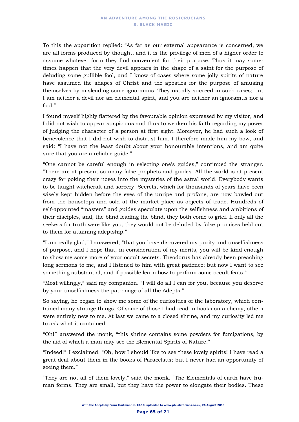To this the apparition replied: "As far as our external appearance is concerned, we are all forms produced by thought, and it is the privilege of men of a higher order to assume whatever form they find convenient for their purpose. Thus it may sometimes happen that the very devil appears in the shape of a saint for the purpose of deluding some gullible fool, and I know of cases where some jolly spirits of nature have assumed the shapes of Christ and the apostles for the purpose of amusing themselves by misleading some ignoramus. They usually succeed in such cases; but I am neither a devil nor an elemental spirit, and you are neither an ignoramus nor a fool."

I found myself highly flattered by the favourable opinion expressed by my visitor, and I did not wish to appear suspicious and thus to weaken his faith regarding my power of judging the character of a person at first sight. Moreover, he had such a look of benevolence that I did not wish to distrust him. I therefore made him my bow, and said: "I have not the least doubt about your honourable intentions, and am quite sure that you are a reliable guide."

"One cannot be careful enough in selecting one's guides," continued the stranger. "There are at present so many false prophets and guides. All the world is at present crazy for poking their noses into the mysteries of the astral world. Everybody wants to be taught witchcraft and sorcery. Secrets, which for thousands of years have been wisely kept hidden before the eyes of the unripe and profane, are now bawled out from the housetops and sold at the market-place as objects of trade. Hundreds of self-appointed "masters" and guides speculate upon the selfishness and ambitions of their disciples, and, the blind leading the blind, they both come to grief. If only all the seekers for truth were like you, they would not be deluded by false promises held out to them for attaining adeptship."

"I am really glad," I answered, "that you have discovered my purity and unselfishness of purpose, and I hope that, in consideration of my merits, you will be kind enough to show me some more of your occult secrets. Theodorus has already been preaching long sermons to me, and I listened to him with great patience; but now I want to see something substantial, and if possible learn how to perform some occult feats."

"Most willingly," said my companion. "I will do all I can for you, because you deserve by your unselfishness the patronage of all the Adepts."

So saying, he began to show me some of the curiosities of the laboratory, which contained many strange things. Of some of those I had read in books on alchemy; others were entirely new to me. At last we came to a closed shrine, and my curiosity led me to ask what it contained.

"Oh!" answered the monk, "this shrine contains some powders for fumigations, by the aid of which a man may see the Elemental Spirits of Nature."

"Indeed!" I exclaimed. "Oh, how I should like to see these lovely spirits! I have read a great deal about them in the books of Paracelsus; but I never had an opportunity of seeing them."

"They are not all of them lovely," said the monk. "The Elementals of earth have human forms. They are small, but they have the power to elongate their bodies. These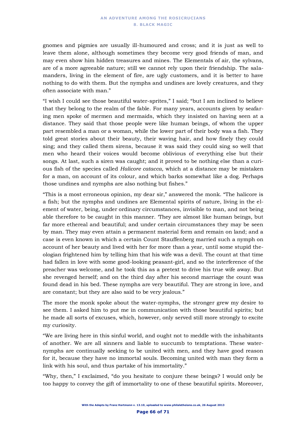gnomes and pigmies are usually ill-humoured and cross; and it is just as well to leave them alone, although sometimes they become very good friends of man, and may even show him hidden treasures and mines. The Elementals of air, the sylvans, are of a more agreeable nature; still we cannot rely upon their friendship. The salamanders, living in the element of fire, are ugly customers, and it is better to have nothing to do with them. But the nymphs and undines are lovely creatures, and they often associate with man."

"I wish I could see those beautiful water-sprites," I said; "but I am inclined to believe that they belong to the realm of the fable. For many years, accounts given by seafaring men spoke of mermen and mermaids, which they insisted on having seen at a distance. They said that those people were like human beings, of whom the upper part resembled a man or a woman, while the lower part of their body was a fish. They told great stories about their beauty, their waving hair, and how finely they could sing; and they called them sirens, because it was said they could sing so well that men who heard their voices would become oblivious of everything else but their songs. At last, such a siren was caught; and it proved to be nothing else than a curious fish of the species called *Halicore catacca*, which at a distance may be mistaken for a man, on account of its colour, and which barks somewhat like a dog. Perhaps those undines and nymphs are also nothing but fishes."

"This is a most erroneous opinion, my dear sir," answered the monk. "The halicore is a fish; but the nymphs and undines are Elemental spirits of nature, living in the element of water, being, under ordinary circumstances, invisible to man, and not being able therefore to be caught in this manner. 'They are almost like human beings, but far more ethereal and beautiful; and under certain circumstances they may be seen by man. They may even attain a permanent material form and remain on land; and a case is even known in which a certain Count Stauffenberg married such a nymph on account of her beauty and lived with her for more than a year, until some stupid theologian frightened him by telling him that his wife was a devil. The count at that time had fallen in love with some good-looking peasant-girl, and so the interference of the preacher was welcome, and he took this as a pretext to drive his true wife away. But she revenged herself; and on the third day after his second marriage the count was found dead in his bed. These nymphs are very beautiful. They are strong in love, and are constant; but they are also said to be very jealous."

The more the monk spoke about the water-nymphs, the stronger grew my desire to see them. I asked him to put me in communication with those beautiful spirits; but he made all sorts of excuses, which, however, only served still more strongly to excite my curiosity.

"We are living here in this sinful world, and ought not to meddle with the inhabitants of another. We are all sinners and liable to succumb to temptations. These waternymphs are continually seeking to be united with men, and they have good reason for it, because they have no immortal souls. Becoming united with man they form a link with his soul, and thus partake of his immortality."

"Why, then," I exclaimed, "do you hesitate to conjure these beings? I would only be too happy to convey the gift of immortality to one of these beautiful spirits. Moreover,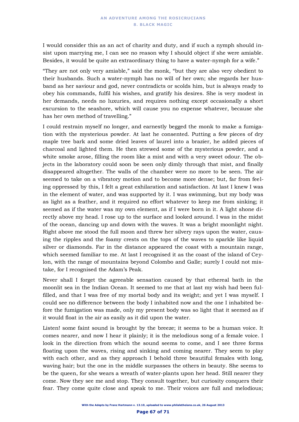I would consider this as an act of charity and duty, and if such a nymph should insist upon marrying me, I can see no reason why I should object if she were amiable. Besides, it would be quite an extraordinary thing to have a water-nymph for a wife."

"They are not only very amiable," said the monk, "but they are also very obedient to their husbands. Such a water-nymph has no will of her own; she regards her husband as her saviour and god, never contradicts or scolds him, but is always ready to obey his commands, fulfil his wishes, and gratify his desires. She is very modest in her demands, needs no luxuries, and requires nothing except occasionally a short excursion to the seashore, which will cause you no expense whatever, because she has her own method of travelling."

I could restrain myself no longer, and earnestly begged the monk to make a fumigation with the mysterious powder. At last he consented. Putting a few pieces of dry maple tree bark and some dried leaves of laurel into a brazier, he added pieces of charcoal and lighted them. He then strewed some of the mysterious powder, and a white smoke arose, filling the room like a mist and with a very sweet odour. The objects in the laboratory could soon be seen only dimly through that mist, and finally disappeared altogether. The walls of the chamber were no more to be seen. The air seemed to take on a vibratory motion and to become more dense; but, far from feeling oppressed by this, I felt a great exhilaration and satisfaction. At last I knew I was in the element of water, and was supported by it. I was swimming, but my body was as light as a feather, and it required no effort whatever to keep me from sinking; it seemed as if the water was my own element, as if I were born in it. A light shone directly above my head. I rose up to the surface and looked around. I was in the midst of the ocean, dancing up and down with the waves. It was a bright moonlight night. Right above me stood the full moon and threw her silvery rays upon the water, causing the ripples and the foamy crests on the tops of the waves to sparkle like liquid silver or diamonds. Far in the distance appeared the coast with a mountain range, which seemed familiar to me. At last I recognised it as the coast of the island of Ceylon, with the range of mountains beyond Colombo and Galle; surely I could not mistake, for I recognised the Adam's Peak.

Never shall I forget the agreeable sensation caused by that ethereal bath in the moonlit sea in the Indian Ocean. It seemed to me that at last my wish had been fulfilled, and that I was free of my mortal body and its weight; and yet I was myself. I could see no difference between the body I inhabited now and the one I inhabited before the fumigation was made, only my present body was so light that it seemed as if it would float in the air as easily as it did upon the water.

Listen! some faint sound is brought by the breeze; it seems to be a human voice. It comes nearer, and now I hear it plainly; it is the melodious song of a female voice. I look in the direction from which the sound seems to come, and I see three forms floating upon the waves, rising and sinking and coming nearer. They seem to play with each other, and as they approach I behold three beautiful females with long, waving hair; but the one in the middle surpasses the others in beauty. She seems to be the queen, for she wears a wreath of water-plants upon her head. Still nearer they come. Now they see me and stop. They consult together, but curiosity conquers their fear. They come quite close and speak to me. Their voices are full and melodious;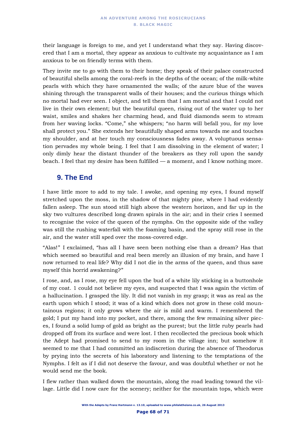their language is foreign to me, and yet I understand what they say. Having discovered that I am a mortal, they appear as anxious to cultivate my acquaintance as I am anxious to be on friendly terms with them.

They invite me to go with them to their home; they speak of their palace constructed of beautiful shells among the coral-reefs in the depths of the ocean; of the milk-white pearls with which they have ornamented the walls; of the azure blue of the waves shining through the transparent walls of their houses; and the curious things which no mortal had ever seen. I object, and tell them that I am mortal and that I could not live in their own element; but the beautiful queen, rising out of the water up to her waist, smiles and shakes her charming head, and fluid diamonds seem to stream from her waving locks. "Come," she whispers; "no harm will befall you, for my love shall protect you." She extends her beautifully shaped arms towards me and touches my shoulder, and at her touch my consciousness fades away. A voluptuous sensation pervades my whole being. I feel that I am dissolving in the element of water; I only dimly hear the distant thunder of the breakers as they roll upon the sandy beach. I feel that my desire has been fulfilled — a moment, and I know nothing more.

## <span id="page-67-0"></span>**9. The End**

I have little more to add to my tale. I awoke, and opening my eyes, I found myself stretched upon the moss, in the shadow of that mighty pine, where I had evidently fallen asleep. The sun stood still high above the western horizon, and far up in the sky two vultures described long drawn spirals in the air; and in their cries I seemed to recognise the voice of the queen of the nymphs. On the opposite side of the valley was still the rushing waterfall with the foaming basin, and the spray still rose in the air, and the water still sped over the moss-covered edge.

"Alas!" I exclaimed, "has all I have seen been nothing else than a dream? Has that which seemed so beautiful and real been merely an illusion of my brain, and have I now returned to real life? Why did I not die in the arms of the queen, and thus save myself this horrid awakening?"

I rose, and, as I rose, my eye fell upon the bud of a white lily sticking in a buttonhole of my coat. 1 could not believe my eyes, and suspected that I was again the victim of a hallucination. I grasped the lily. It did not vanish in my grasp; it was as real as the earth upon which I stood; it was of a kind which does not grow in these cold mountainous regions; it only grows where the air is mild and warm. I remembered the gold; I put my hand into my pocket, and there, among the few remaining silver pieces, I found a solid lump of gold as bright as the purest; but the little ruby pearls had dropped off from its surface and were lost. I then recollected the precious book which the Adept had promised to send to my room in the village inn; but somehow it seemed to me that I had committed an indiscretion during the absence of Theodorus by prying into the secrets of his laboratory and listening to the temptations of the Nymphs. I felt as if I did not deserve the favour, and was doubtful whether or not he would send me the book.

I flew rather than walked down the mountain, along the road leading toward the village. Little did I now care for the scenery; neither for the mountain tops, which were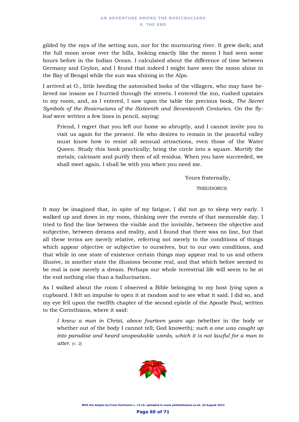gilded by the rays of the setting sun, nor for the murmuring river. It grew dark; and the full moon arose over the hills, looking exactly like the moon I had seen some hours before in the Indian Ocean. I calculated about the difference of time between Germany and Ceylon, and I found that indeed I might have seen the moon shine in the Bay of Bengal while the sun was shining in the Alps.

I arrived at O., little heeding the astonished looks of the villagers, who may have believed me insane as I hurried through the streets. I entered the inn, rushed upstairs to my room, and, as I entered, I saw upon the table the precious book, *The Secret Symbols of the Rosicrucians of the Sixteenth and Seventeenth Centuries*. On the flyleaf were written a few lines in pencil, saying:

Friend, I regret that you left our home so abruptly, and I cannot invite you to visit us again for the present. He who desires to remain in the peaceful valley must know how to resist all sensual attractions, even those of the Water Queen. Study this book practically; bring the circle into a square. Mortify the metals; calcinate and purify them of all residua. When you have succeeded, we shall meet again. I shall be with you when you need me.

Yours fraternally,

**THEODORUS** 

It may be imagined that, in spite of my fatigue, I did not go to sleep very early. I walked up and down in my room, thinking over the events of that memorable day. I tried to find the line between the visible and the invisible, between the objective and subjective, between dreams and reality, and I found that there was no line, but that all these terms are merely relative, referring not merely to the conditions of things which appear objective or subjective to ourselves, but to our own conditions, and that while in one state of existence certain things may appear real to us and others illusive, in another state the illusions become real, and that which before seemed to be real is now merely a dream. Perhaps our whole terrestrial life will seem to be at the end nothing else than a hallucination.

As I walked about the room I observed a Bible belonging to my host lying upon a cupboard. I felt an impulse to open it at random and to see what it said. I did so, and my eye fell upon the twelfth chapter of the second epistle of the Apostle Paul, written to the Corinthians, where it said:

*I knew a man in Christ, above fourteen years ago* (whether in the body or whether out of the body I cannot tell; God knoweth)*; such a one was caught up into paradise and heard unspeakable words, which it is not lawful for a man to utter*. [v. 2]

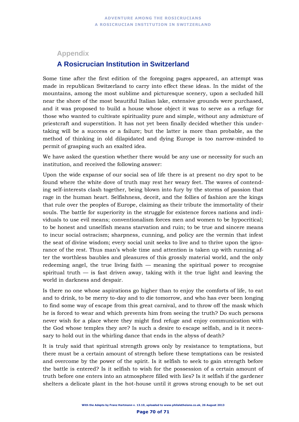#### <span id="page-69-0"></span>**Appendix**

# **A Rosicrucian Institution in Switzerland**

Some time after the first edition of the foregoing pages appeared, an attempt was made in republican Switzerland to carry into effect these ideas. In the midst of the mountains, among the most sublime and picturesque scenery, upon a secluded hill near the shore of the most beautiful Italian lake, extensive grounds were purchased, and it was proposed to build a house whose object it was to serve as a refuge for those who wanted to cultivate spirituality pure and simple, without any admixture of priestcraft and superstition. It has not yet been finally decided whether this undertaking will be a success or a failure; but the latter is more than probable, as the method of thinking in old dilapidated and dying Europe is too narrow-minded to permit of grasping such an exalted idea.

We have asked the question whether there would be any use or necessity for such an institution, and received the following answer:

Upon the wide expanse of our social sea of life there is at present no dry spot to be found where the white dove of truth may rest her weary feet. The waves of contending self-interests clash together, being blown into fury by the storms of passion that rage in the human heart. Selfishness, deceit, and the follies of fashion are the kings that rule over the peoples of Europe, claiming as their tribute the immortality of their souls. The battle for superiority in the struggle for existence forces nations and individuals to use evil means; conventionalism forces men and women to be hypocritical; to be honest and unselfish means starvation and ruin; to be true and sincere means to incur social ostracism; sharpness, cunning, and policy are the vermin that infest the seat of divine wisdom; every social unit seeks to live and to thrive upon the ignorance of the rest. Thus man's whole time and attention is taken up with running after the worthless baubles and pleasures of this grossly material world, and the only redeeming angel, the true living faith — meaning the spiritual power to recognise spiritual truth  $-$  is fast driven away, taking with it the true light and leaving the world in darkness and despair.

Is there no one whose aspirations go higher than to enjoy the comforts of life, to eat and to drink, to be merry to-day and to die tomorrow, and who has ever been longing to find some way of escape from this great carnival, and to throw off the mask which he is forced to wear and which prevents him from seeing the truth? Do such persons never wish for a place where they might find refuge and enjoy communication with the God whose temples they are? Is such a desire to escape selfish, and is it necessary to hold out in the whirling dance that ends in the abyss of death?

It is truly said that spiritual strength grows only by resistance to temptations, but there must be a certain amount of strength before these temptations can be resisted and overcome by the power of the spirit. Is it selfish to seek to gain strength before the battle is entered? Is it selfish to wish for the possession of a certain amount of truth before one enters into an atmosphere filled with lies? Is it selfish if the gardener shelters a delicate plant in the hot-house until it grows strong enough to be set out